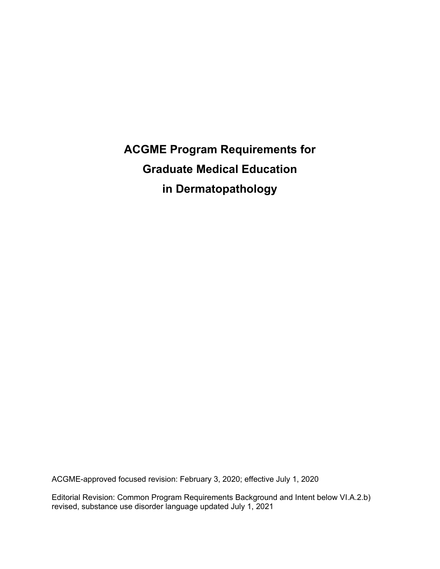# **ACGME Program Requirements for Graduate Medical Education in Dermatopathology**

ACGME-approved focused revision: February 3, 2020; effective July 1, 2020

Editorial Revision: Common Program Requirements Background and Intent below VI.A.2.b) revised, substance use disorder language updated July 1, 2021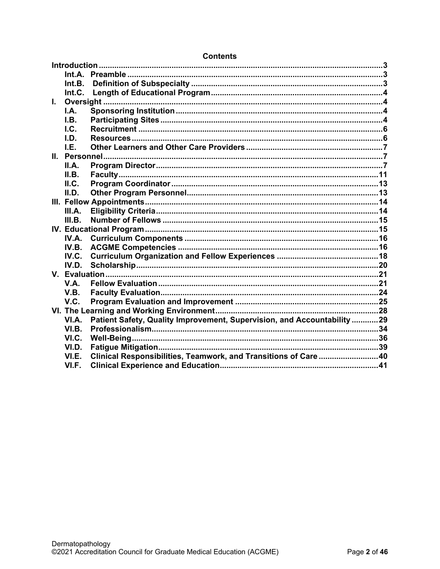|              | Int.B.        |                                                                          |  |  |
|--------------|---------------|--------------------------------------------------------------------------|--|--|
|              | Int.C.        |                                                                          |  |  |
| $\mathbf{L}$ |               |                                                                          |  |  |
|              | I.A.          |                                                                          |  |  |
|              | I.B.          |                                                                          |  |  |
|              | l.C.          |                                                                          |  |  |
|              | I.D.          |                                                                          |  |  |
|              | LE.           |                                                                          |  |  |
|              | II. Personnel |                                                                          |  |  |
|              | II.A.         |                                                                          |  |  |
|              | II.B.         |                                                                          |  |  |
|              | II.C.         |                                                                          |  |  |
|              | II.D.         |                                                                          |  |  |
|              |               |                                                                          |  |  |
|              | III.A.        |                                                                          |  |  |
|              | III.B.        |                                                                          |  |  |
|              |               |                                                                          |  |  |
|              | IV.A.         |                                                                          |  |  |
|              | IV.B.         |                                                                          |  |  |
|              | IV.C.         |                                                                          |  |  |
|              | IV.D.         |                                                                          |  |  |
|              |               |                                                                          |  |  |
|              | V.A.          |                                                                          |  |  |
|              | V.B.          |                                                                          |  |  |
|              | V.C.          |                                                                          |  |  |
|              |               |                                                                          |  |  |
|              | VI.A.         | Patient Safety, Quality Improvement, Supervision, and Accountability  29 |  |  |
|              | VI.B.         |                                                                          |  |  |
|              | VI.C.         |                                                                          |  |  |
|              | VI.D.         |                                                                          |  |  |
|              | VI.E.         | Clinical Responsibilities, Teamwork, and Transitions of Care40           |  |  |
|              | VI.F.         |                                                                          |  |  |

#### **Contents**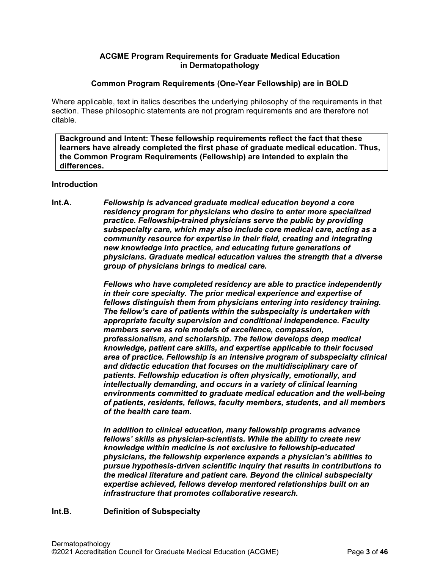## **ACGME Program Requirements for Graduate Medical Education in Dermatopathology**

## **Common Program Requirements (One-Year Fellowship) are in BOLD**

Where applicable, text in italics describes the underlying philosophy of the requirements in that section. These philosophic statements are not program requirements and are therefore not citable.

**Background and Intent: These fellowship requirements reflect the fact that these learners have already completed the first phase of graduate medical education. Thus, the Common Program Requirements (Fellowship) are intended to explain the differences.**

## <span id="page-2-0"></span>**Introduction**

<span id="page-2-1"></span>**Int.A.** *Fellowship is advanced graduate medical education beyond a core residency program for physicians who desire to enter more specialized practice. Fellowship-trained physicians serve the public by providing subspecialty care, which may also include core medical care, acting as a community resource for expertise in their field, creating and integrating new knowledge into practice, and educating future generations of physicians. Graduate medical education values the strength that a diverse group of physicians brings to medical care.*

> *Fellows who have completed residency are able to practice independently in their core specialty. The prior medical experience and expertise of fellows distinguish them from physicians entering into residency training. The fellow's care of patients within the subspecialty is undertaken with appropriate faculty supervision and conditional independence. Faculty members serve as role models of excellence, compassion, professionalism, and scholarship. The fellow develops deep medical knowledge, patient care skills, and expertise applicable to their focused area of practice. Fellowship is an intensive program of subspecialty clinical and didactic education that focuses on the multidisciplinary care of patients. Fellowship education is often physically, emotionally, and intellectually demanding, and occurs in a variety of clinical learning environments committed to graduate medical education and the well-being of patients, residents, fellows, faculty members, students, and all members of the health care team.*

*In addition to clinical education, many fellowship programs advance fellows' skills as physician-scientists. While the ability to create new knowledge within medicine is not exclusive to fellowship-educated physicians, the fellowship experience expands a physician's abilities to pursue hypothesis-driven scientific inquiry that results in contributions to the medical literature and patient care. Beyond the clinical subspecialty expertise achieved, fellows develop mentored relationships built on an infrastructure that promotes collaborative research.*

## <span id="page-2-2"></span>**Int.B. Definition of Subspecialty**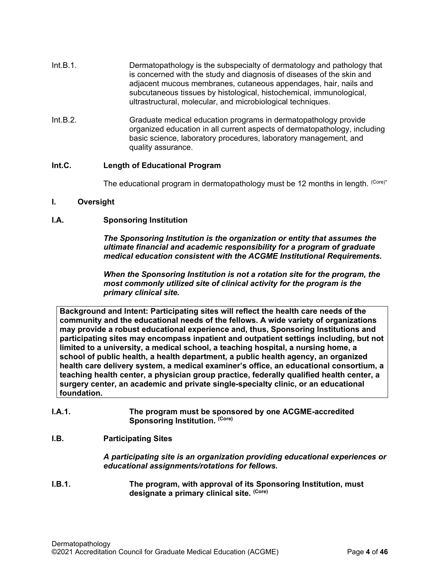- Int.B.1. Dermatopathology is the subspecialty of dermatology and pathology that is concerned with the study and diagnosis of diseases of the skin and adjacent mucous membranes, cutaneous appendages, hair, nails and subcutaneous tissues by histological, histochemical, immunological, ultrastructural, molecular, and microbiological techniques.
- Int.B.2. Graduate medical education programs in dermatopathology provide organized education in all current aspects of dermatopathology, including basic science, laboratory procedures, laboratory management, and quality assurance.

## <span id="page-3-0"></span>**Int.C. Length of Educational Program**

The educational program in dermatopathology must be 12 months in length. (Core)\*

#### <span id="page-3-1"></span>**I. Oversight**

## <span id="page-3-2"></span>**I.A. Sponsoring Institution**

*The Sponsoring Institution is the organization or entity that assumes the ultimate financial and academic responsibility for a program of graduate medical education consistent with the ACGME Institutional Requirements.*

*When the Sponsoring Institution is not a rotation site for the program, the most commonly utilized site of clinical activity for the program is the primary clinical site.*

**Background and Intent: Participating sites will reflect the health care needs of the community and the educational needs of the fellows. A wide variety of organizations may provide a robust educational experience and, thus, Sponsoring Institutions and participating sites may encompass inpatient and outpatient settings including, but not limited to a university, a medical school, a teaching hospital, a nursing home, a school of public health, a health department, a public health agency, an organized health care delivery system, a medical examiner's office, an educational consortium, a teaching health center, a physician group practice, federally qualified health center, a surgery center, an academic and private single-specialty clinic, or an educational foundation.**

**I.A.1. The program must be sponsored by one ACGME-accredited**  Sponsoring Institution. (Core)

## <span id="page-3-3"></span>**I.B. Participating Sites**

*A participating site is an organization providing educational experiences or educational assignments/rotations for fellows.*

**I.B.1. The program, with approval of its Sponsoring Institution, must designate a primary clinical site. (Core)**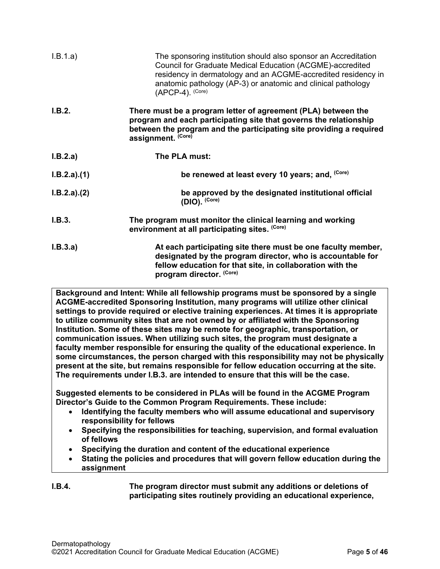| I.B.1.a)    | The sponsoring institution should also sponsor an Accreditation<br>Council for Graduate Medical Education (ACGME)-accredited<br>residency in dermatology and an ACGME-accredited residency in<br>anatomic pathology (AP-3) or anatomic and clinical pathology<br>$(APCP-4)$ . (Core) |
|-------------|--------------------------------------------------------------------------------------------------------------------------------------------------------------------------------------------------------------------------------------------------------------------------------------|
| I.B.2.      | There must be a program letter of agreement (PLA) between the<br>program and each participating site that governs the relationship<br>between the program and the participating site providing a required<br>assignment. (Core)                                                      |
| I.B.2.a)    | The PLA must:                                                                                                                                                                                                                                                                        |
| I.B.2.a)(1) | be renewed at least every 10 years; and, (Core)                                                                                                                                                                                                                                      |
| I.B.2.a)(2) | be approved by the designated institutional official<br>(DIO). (Core)                                                                                                                                                                                                                |
| I.B.3.      | The program must monitor the clinical learning and working<br>environment at all participating sites. (Core)                                                                                                                                                                         |
| I.B.3.a)    | At each participating site there must be one faculty member,<br>designated by the program director, who is accountable for<br>fellow education for that site, in collaboration with the<br>program director. (Core)                                                                  |
|             | Background and Intent: While all fellowship programs must be sponsored by a single                                                                                                                                                                                                   |

**ACGME-accredited Sponsoring Institution, many programs will utilize other clinical settings to provide required or elective training experiences. At times it is appropriate to utilize community sites that are not owned by or affiliated with the Sponsoring Institution. Some of these sites may be remote for geographic, transportation, or communication issues. When utilizing such sites, the program must designate a faculty member responsible for ensuring the quality of the educational experience. In some circumstances, the person charged with this responsibility may not be physically present at the site, but remains responsible for fellow education occurring at the site. The requirements under I.B.3. are intended to ensure that this will be the case.**

**Suggested elements to be considered in PLAs will be found in the ACGME Program Director's Guide to the Common Program Requirements. These include:**

- **Identifying the faculty members who will assume educational and supervisory responsibility for fellows**
- **Specifying the responsibilities for teaching, supervision, and formal evaluation of fellows**
- **Specifying the duration and content of the educational experience**
- **Stating the policies and procedures that will govern fellow education during the assignment**

## **I.B.4. The program director must submit any additions or deletions of participating sites routinely providing an educational experience,**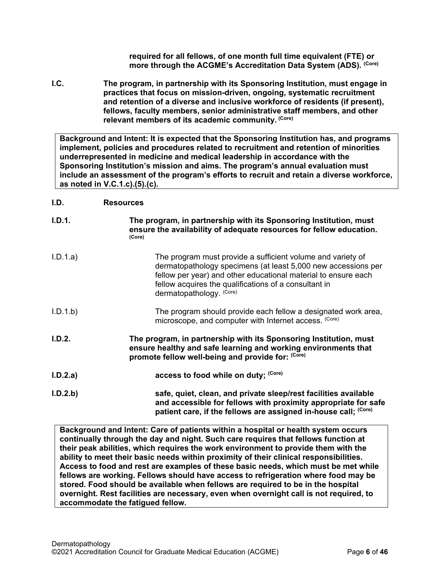**required for all fellows, of one month full time equivalent (FTE) or more through the ACGME's Accreditation Data System (ADS). (Core)**

<span id="page-5-0"></span>**I.C. The program, in partnership with its Sponsoring Institution, must engage in practices that focus on mission-driven, ongoing, systematic recruitment and retention of a diverse and inclusive workforce of residents (if present), fellows, faculty members, senior administrative staff members, and other relevant members of its academic community. (Core)**

**Background and Intent: It is expected that the Sponsoring Institution has, and programs implement, policies and procedures related to recruitment and retention of minorities underrepresented in medicine and medical leadership in accordance with the Sponsoring Institution's mission and aims. The program's annual evaluation must include an assessment of the program's efforts to recruit and retain a diverse workforce, as noted in V.C.1.c).(5).(c).**

## <span id="page-5-1"></span>**I.D. Resources**

| I.D.1.   | The program, in partnership with its Sponsoring Institution, must<br>ensure the availability of adequate resources for fellow education.<br>(Core)                                                                                                                                  |
|----------|-------------------------------------------------------------------------------------------------------------------------------------------------------------------------------------------------------------------------------------------------------------------------------------|
| I.D.1.a) | The program must provide a sufficient volume and variety of<br>dermatopathology specimens (at least 5,000 new accessions per<br>fellow per year) and other educational material to ensure each<br>fellow acquires the qualifications of a consultant in<br>dermatopathology. (Core) |
| I.D.1.b  | The program should provide each fellow a designated work area,<br>microscope, and computer with Internet access. (Core)                                                                                                                                                             |
| I.D.2.   | The program, in partnership with its Sponsoring Institution, must<br>ensure healthy and safe learning and working environments that<br>promote fellow well-being and provide for: (Core)                                                                                            |
| I.D.2.a) | access to food while on duty; (Core)                                                                                                                                                                                                                                                |
| I.D.2.b  | safe, quiet, clean, and private sleep/rest facilities available<br>and accessible for fellows with proximity appropriate for safe<br>patient care, if the fellows are assigned in-house call; (Core)                                                                                |

**Background and Intent: Care of patients within a hospital or health system occurs continually through the day and night. Such care requires that fellows function at their peak abilities, which requires the work environment to provide them with the ability to meet their basic needs within proximity of their clinical responsibilities. Access to food and rest are examples of these basic needs, which must be met while fellows are working. Fellows should have access to refrigeration where food may be stored. Food should be available when fellows are required to be in the hospital overnight. Rest facilities are necessary, even when overnight call is not required, to accommodate the fatigued fellow.**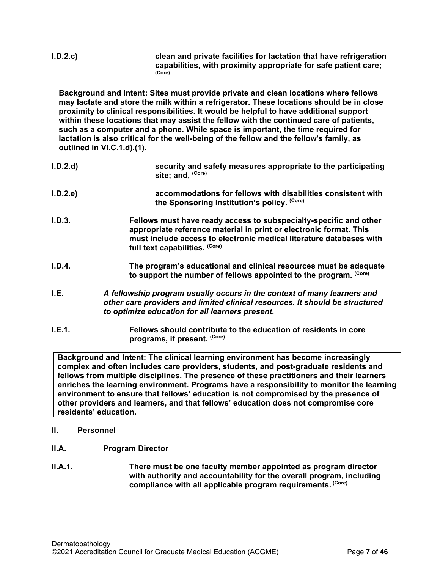**I.D.2.c) clean and private facilities for lactation that have refrigeration capabilities, with proximity appropriate for safe patient care; (Core)**

**Background and Intent: Sites must provide private and clean locations where fellows may lactate and store the milk within a refrigerator. These locations should be in close proximity to clinical responsibilities. It would be helpful to have additional support within these locations that may assist the fellow with the continued care of patients, such as a computer and a phone. While space is important, the time required for lactation is also critical for the well-being of the fellow and the fellow's family, as outlined in VI.C.1.d).(1).**

- **I.D.2.d) security and safety measures appropriate to the participating site; and, (Core)**
- **I.D.2.e) accommodations for fellows with disabilities consistent with the Sponsoring Institution's policy. (Core)**
- **I.D.3. Fellows must have ready access to subspecialty-specific and other appropriate reference material in print or electronic format. This must include access to electronic medical literature databases with full text capabilities. (Core)**
- **I.D.4. The program's educational and clinical resources must be adequate to support the number of fellows appointed to the program. (Core)**
- <span id="page-6-0"></span>**I.E.** *A fellowship program usually occurs in the context of many learners and other care providers and limited clinical resources. It should be structured to optimize education for all learners present.*
- **I.E.1. Fellows should contribute to the education of residents in core programs, if present. (Core)**

**Background and Intent: The clinical learning environment has become increasingly complex and often includes care providers, students, and post-graduate residents and fellows from multiple disciplines. The presence of these practitioners and their learners enriches the learning environment. Programs have a responsibility to monitor the learning environment to ensure that fellows' education is not compromised by the presence of other providers and learners, and that fellows' education does not compromise core residents' education.**

- <span id="page-6-1"></span>**II. Personnel**
- <span id="page-6-2"></span>**II.A. Program Director**
- **II.A.1. There must be one faculty member appointed as program director with authority and accountability for the overall program, including compliance with all applicable program requirements. (Core)**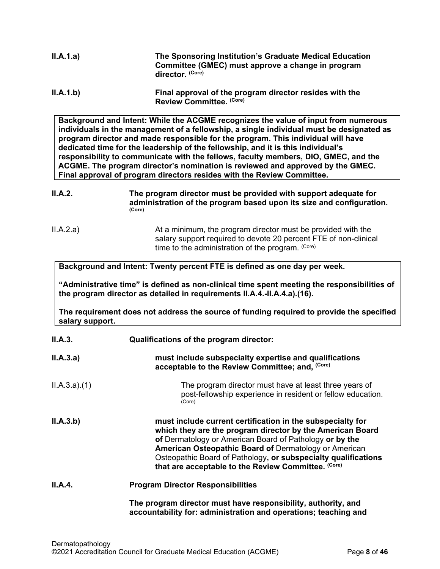| II.A.1.a)       | The Sponsoring Institution's Graduate Medical Education<br>Committee (GMEC) must approve a change in program<br>director. (Core)                                                                                                                                                                                                                                                                                                                                                                                                                                                                          |
|-----------------|-----------------------------------------------------------------------------------------------------------------------------------------------------------------------------------------------------------------------------------------------------------------------------------------------------------------------------------------------------------------------------------------------------------------------------------------------------------------------------------------------------------------------------------------------------------------------------------------------------------|
| II.A.1.b)       | Final approval of the program director resides with the<br>Review Committee. (Core)                                                                                                                                                                                                                                                                                                                                                                                                                                                                                                                       |
|                 | Background and Intent: While the ACGME recognizes the value of input from numerous<br>individuals in the management of a fellowship, a single individual must be designated as<br>program director and made responsible for the program. This individual will have<br>dedicated time for the leadership of the fellowship, and it is this individual's<br>responsibility to communicate with the fellows, faculty members, DIO, GMEC, and the<br>ACGME. The program director's nomination is reviewed and approved by the GMEC.<br>Final approval of program directors resides with the Review Committee. |
| <b>II.A.2.</b>  | The program director must be provided with support adequate for<br>administration of the program based upon its size and configuration.<br>(Core)                                                                                                                                                                                                                                                                                                                                                                                                                                                         |
| II.A.2.a)       | At a minimum, the program director must be provided with the<br>salary support required to devote 20 percent FTE of non-clinical<br>time to the administration of the program. (Core)                                                                                                                                                                                                                                                                                                                                                                                                                     |
|                 | Background and Intent: Twenty percent FTE is defined as one day per week.                                                                                                                                                                                                                                                                                                                                                                                                                                                                                                                                 |
|                 | "Administrative time" is defined as non-clinical time spent meeting the responsibilities of<br>the program director as detailed in requirements II.A.4.-II.A.4.a).(16).                                                                                                                                                                                                                                                                                                                                                                                                                                   |
| salary support. | The requirement does not address the source of funding required to provide the specified                                                                                                                                                                                                                                                                                                                                                                                                                                                                                                                  |
| II.A.3.         | Qualifications of the program director:                                                                                                                                                                                                                                                                                                                                                                                                                                                                                                                                                                   |
| II.A.3.a)       | must include subspecialty expertise and qualifications<br>acceptable to the Review Committee; and, (Core)                                                                                                                                                                                                                                                                                                                                                                                                                                                                                                 |
| ILA.3.a)(1)     | The program director must have at least three years of<br>post-fellowship experience in resident or fellow education.<br>(Core)                                                                                                                                                                                                                                                                                                                                                                                                                                                                           |
| II.A.3.b)       | must include current certification in the subspecialty for<br>which they are the program director by the American Board<br>of Dermatology or American Board of Pathology or by the<br><b>American Osteopathic Board of Dermatology or American</b><br>Osteopathic Board of Pathology, or subspecialty qualifications<br>that are acceptable to the Review Committee. (Core)                                                                                                                                                                                                                               |
| II.A.4.         | <b>Program Director Responsibilities</b>                                                                                                                                                                                                                                                                                                                                                                                                                                                                                                                                                                  |
|                 | The program director must have responsibility, authority, and<br>accountability for: administration and operations; teaching and                                                                                                                                                                                                                                                                                                                                                                                                                                                                          |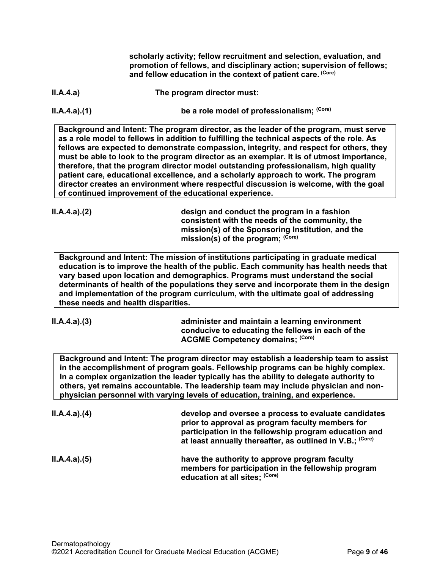**scholarly activity; fellow recruitment and selection, evaluation, and promotion of fellows, and disciplinary action; supervision of fellows; and fellow education in the context of patient care. (Core)**

**II.A.4.a) The program director must:**

**II.A.4.a).(1) be a role model of professionalism;**  $\text{(Core)}$ 

**Background and Intent: The program director, as the leader of the program, must serve as a role model to fellows in addition to fulfilling the technical aspects of the role. As fellows are expected to demonstrate compassion, integrity, and respect for others, they must be able to look to the program director as an exemplar. It is of utmost importance, therefore, that the program director model outstanding professionalism, high quality patient care, educational excellence, and a scholarly approach to work. The program director creates an environment where respectful discussion is welcome, with the goal of continued improvement of the educational experience.**

**II.A.4.a).(2) design and conduct the program in a fashion consistent with the needs of the community, the mission(s) of the Sponsoring Institution, and the**  mission(s) of the program; (Core)

**Background and Intent: The mission of institutions participating in graduate medical education is to improve the health of the public. Each community has health needs that vary based upon location and demographics. Programs must understand the social determinants of health of the populations they serve and incorporate them in the design and implementation of the program curriculum, with the ultimate goal of addressing these needs and health disparities.**

**II.A.4.a).(3) administer and maintain a learning environment conducive to educating the fellows in each of the ACGME Competency domains; (Core)**

**Background and Intent: The program director may establish a leadership team to assist in the accomplishment of program goals. Fellowship programs can be highly complex. In a complex organization the leader typically has the ability to delegate authority to others, yet remains accountable. The leadership team may include physician and nonphysician personnel with varying levels of education, training, and experience.**

| ILA.4.a)(4) | develop and oversee a process to evaluate candidates<br>prior to approval as program faculty members for<br>participation in the fellowship program education and<br>at least annually thereafter, as outlined in V.B.; (Core) |
|-------------|--------------------------------------------------------------------------------------------------------------------------------------------------------------------------------------------------------------------------------|
| ILA.4.a)(5) | have the authority to approve program faculty<br>members for participation in the fellowship program<br>education at all sites; (Core)                                                                                         |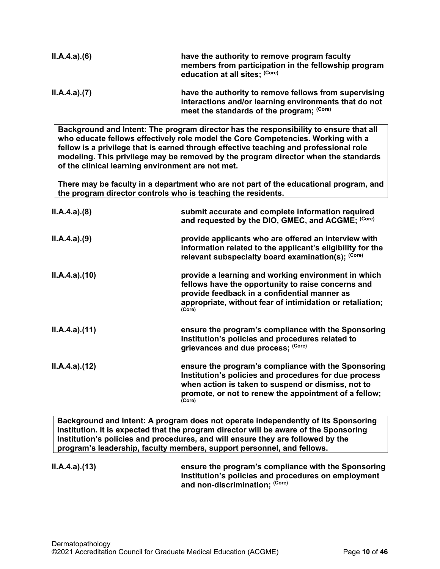| ILA.4.a)(6) | have the authority to remove program faculty<br>members from participation in the fellowship program<br>education at all sites; (Core)                      |
|-------------|-------------------------------------------------------------------------------------------------------------------------------------------------------------|
| ILA.4.a)(7) | have the authority to remove fellows from supervising<br>interactions and/or learning environments that do not<br>meet the standards of the program; (Core) |

**Background and Intent: The program director has the responsibility to ensure that all who educate fellows effectively role model the Core Competencies. Working with a fellow is a privilege that is earned through effective teaching and professional role modeling. This privilege may be removed by the program director when the standards of the clinical learning environment are not met.**

**There may be faculty in a department who are not part of the educational program, and the program director controls who is teaching the residents.**

| ILA.4.a)(8)   | submit accurate and complete information required<br>and requested by the DIO, GMEC, and ACGME; (Core)                                                                                                                                |
|---------------|---------------------------------------------------------------------------------------------------------------------------------------------------------------------------------------------------------------------------------------|
| ILA.4.a)(9)   | provide applicants who are offered an interview with<br>information related to the applicant's eligibility for the<br>relevant subspecialty board examination(s); (Core)                                                              |
| II.A.4.a)(10) | provide a learning and working environment in which<br>fellows have the opportunity to raise concerns and<br>provide feedback in a confidential manner as<br>appropriate, without fear of intimidation or retaliation;<br>(Core)      |
| II.A.4.a)(11) | ensure the program's compliance with the Sponsoring<br>Institution's policies and procedures related to<br>grievances and due process; (Core)                                                                                         |
| II.A.4.a)(12) | ensure the program's compliance with the Sponsoring<br>Institution's policies and procedures for due process<br>when action is taken to suspend or dismiss, not to<br>promote, or not to renew the appointment of a fellow;<br>(Core) |

**Background and Intent: A program does not operate independently of its Sponsoring Institution. It is expected that the program director will be aware of the Sponsoring Institution's policies and procedures, and will ensure they are followed by the program's leadership, faculty members, support personnel, and fellows.**

**II.A.4.a).(13) ensure the program's compliance with the Sponsoring Institution's policies and procedures on employment and non-discrimination; (Core)**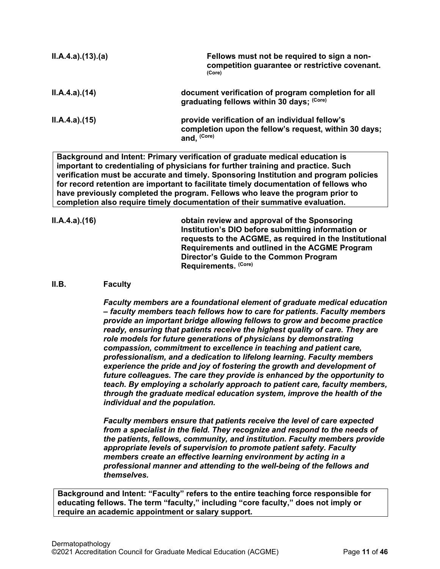| II.A.4.a)(13)(a) | Fellows must not be required to sign a non-<br>competition guarantee or restrictive covenant.<br>(Core)                           |
|------------------|-----------------------------------------------------------------------------------------------------------------------------------|
| ILA.4.a)(14)     | document verification of program completion for all<br>graduating fellows within 30 days; (Core)                                  |
| ILA.4.a. (15)    | provide verification of an individual fellow's<br>completion upon the fellow's request, within 30 days;<br>and. <sup>(Core)</sup> |

**Background and Intent: Primary verification of graduate medical education is important to credentialing of physicians for further training and practice. Such verification must be accurate and timely. Sponsoring Institution and program policies for record retention are important to facilitate timely documentation of fellows who have previously completed the program. Fellows who leave the program prior to completion also require timely documentation of their summative evaluation.**

**II.A.4.a).(16) obtain review and approval of the Sponsoring Institution's DIO before submitting information or requests to the ACGME, as required in the Institutional Requirements and outlined in the ACGME Program Director's Guide to the Common Program Requirements. (Core)**

#### <span id="page-10-0"></span>**II.B. Faculty**

*Faculty members are a foundational element of graduate medical education – faculty members teach fellows how to care for patients. Faculty members provide an important bridge allowing fellows to grow and become practice ready, ensuring that patients receive the highest quality of care. They are role models for future generations of physicians by demonstrating compassion, commitment to excellence in teaching and patient care, professionalism, and a dedication to lifelong learning. Faculty members experience the pride and joy of fostering the growth and development of future colleagues. The care they provide is enhanced by the opportunity to teach. By employing a scholarly approach to patient care, faculty members, through the graduate medical education system, improve the health of the individual and the population.*

*Faculty members ensure that patients receive the level of care expected from a specialist in the field. They recognize and respond to the needs of the patients, fellows, community, and institution. Faculty members provide appropriate levels of supervision to promote patient safety. Faculty members create an effective learning environment by acting in a professional manner and attending to the well-being of the fellows and themselves.*

**Background and Intent: "Faculty" refers to the entire teaching force responsible for educating fellows. The term "faculty," including "core faculty," does not imply or require an academic appointment or salary support.**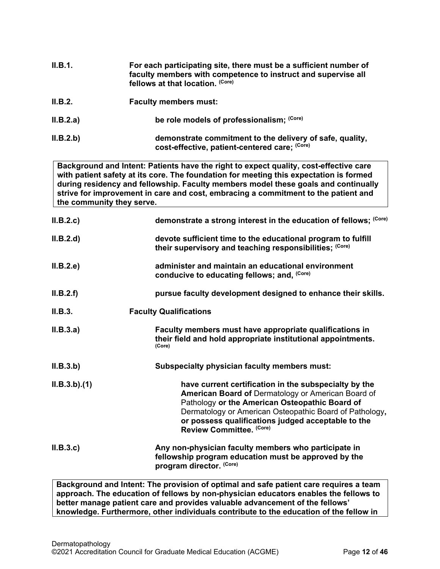| II.B.1. | For each participating site, there must be a sufficient number of |
|---------|-------------------------------------------------------------------|
|         | faculty members with competence to instruct and supervise all     |
|         | fellows at that location. (Core)                                  |

- **II.B.2. Faculty members must:**
- **II.B.2.a) be role models of professionalism;**  $\text{(Core)}$
- **II.B.2.b) demonstrate commitment to the delivery of safe, quality, cost-effective, patient-centered care; (Core)**

**Background and Intent: Patients have the right to expect quality, cost-effective care with patient safety at its core. The foundation for meeting this expectation is formed during residency and fellowship. Faculty members model these goals and continually strive for improvement in care and cost, embracing a commitment to the patient and the community they serve.**

| II.B.2.c    | demonstrate a strong interest in the education of fellows; (Core)                                                                                                                                                                                                                                                 |
|-------------|-------------------------------------------------------------------------------------------------------------------------------------------------------------------------------------------------------------------------------------------------------------------------------------------------------------------|
| II.B.2.d    | devote sufficient time to the educational program to fulfill<br>their supervisory and teaching responsibilities; (Core)                                                                                                                                                                                           |
| II.B.2.e    | administer and maintain an educational environment<br>conducive to educating fellows; and, (Core)                                                                                                                                                                                                                 |
| II.B.2.f    | pursue faculty development designed to enhance their skills.                                                                                                                                                                                                                                                      |
| II.B.3.     | <b>Faculty Qualifications</b>                                                                                                                                                                                                                                                                                     |
| II.B.3.a)   | Faculty members must have appropriate qualifications in<br>their field and hold appropriate institutional appointments.<br>(Core)                                                                                                                                                                                 |
| II.B.3.b)   | <b>Subspecialty physician faculty members must:</b>                                                                                                                                                                                                                                                               |
| ILB.3.b)(1) | have current certification in the subspecialty by the<br><b>American Board of Dermatology or American Board of</b><br>Pathology or the American Osteopathic Board of<br>Dermatology or American Osteopathic Board of Pathology,<br>or possess qualifications judged acceptable to the<br>Review Committee. (Core) |
| II.B.3.c    | Any non-physician faculty members who participate in<br>fellowship program education must be approved by the<br>program director. (Core)                                                                                                                                                                          |

**Background and Intent: The provision of optimal and safe patient care requires a team approach. The education of fellows by non-physician educators enables the fellows to better manage patient care and provides valuable advancement of the fellows' knowledge. Furthermore, other individuals contribute to the education of the fellow in**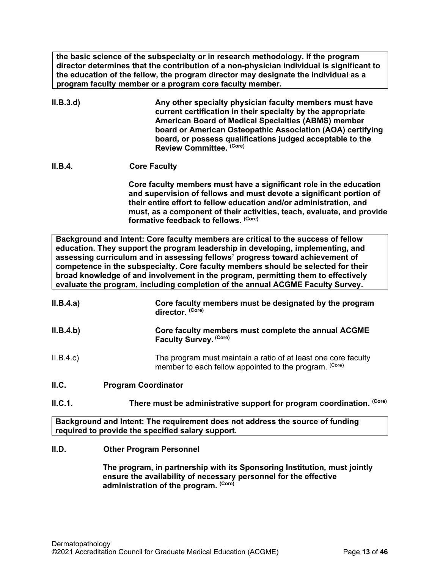**the basic science of the subspecialty or in research methodology. If the program director determines that the contribution of a non-physician individual is significant to the education of the fellow, the program director may designate the individual as a program faculty member or a program core faculty member.**

- **II.B.3.d) Any other specialty physician faculty members must have current certification in their specialty by the appropriate American Board of Medical Specialties (ABMS) member board or American Osteopathic Association (AOA) certifying board, or possess qualifications judged acceptable to the Review Committee. (Core)**
- **II.B.4. Core Faculty**

**Core faculty members must have a significant role in the education and supervision of fellows and must devote a significant portion of their entire effort to fellow education and/or administration, and must, as a component of their activities, teach, evaluate, and provide formative feedback to fellows. (Core)**

**Background and Intent: Core faculty members are critical to the success of fellow education. They support the program leadership in developing, implementing, and assessing curriculum and in assessing fellows' progress toward achievement of competence in the subspecialty. Core faculty members should be selected for their broad knowledge of and involvement in the program, permitting them to effectively evaluate the program, including completion of the annual ACGME Faculty Survey.**

| II.B.4.a) | Core faculty members must be designated by the program<br>director. (Core)                                               |  |
|-----------|--------------------------------------------------------------------------------------------------------------------------|--|
| II.B.4.b) | Core faculty members must complete the annual ACGME<br>Faculty Survey. (Core)                                            |  |
| II.B.4.c  | The program must maintain a ratio of at least one core faculty<br>member to each fellow appointed to the program. (Core) |  |
| II.C.     | <b>Program Coordinator</b>                                                                                               |  |
| II.C.1.   | (Core)<br>There must be administrative support for program coordination.                                                 |  |

<span id="page-12-0"></span>**Background and Intent: The requirement does not address the source of funding required to provide the specified salary support.**

## <span id="page-12-1"></span>**II.D. Other Program Personnel**

**The program, in partnership with its Sponsoring Institution***,* **must jointly ensure the availability of necessary personnel for the effective administration of the program. (Core)**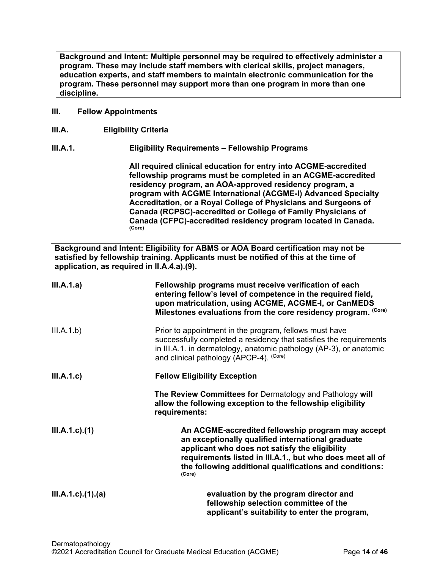**Background and Intent: Multiple personnel may be required to effectively administer a program. These may include staff members with clerical skills, project managers, education experts, and staff members to maintain electronic communication for the program. These personnel may support more than one program in more than one discipline.**

#### <span id="page-13-0"></span>**III. Fellow Appointments**

<span id="page-13-1"></span>**III.A. Eligibility Criteria**

## **III.A.1. Eligibility Requirements – Fellowship Programs**

**All required clinical education for entry into ACGME-accredited fellowship programs must be completed in an ACGME-accredited residency program, an AOA-approved residency program, a program with ACGME International (ACGME-I) Advanced Specialty Accreditation, or a Royal College of Physicians and Surgeons of Canada (RCPSC)-accredited or College of Family Physicians of Canada (CFPC)-accredited residency program located in Canada. (Core)**

**Background and Intent: Eligibility for ABMS or AOA Board certification may not be satisfied by fellowship training. Applicants must be notified of this at the time of application, as required in II.A.4.a).(9).**

| III.A.1.a)                | Fellowship programs must receive verification of each<br>entering fellow's level of competence in the required field,<br>upon matriculation, using ACGME, ACGME-I, or CanMEDS<br>Milestones evaluations from the core residency program. (Core)                                            |
|---------------------------|--------------------------------------------------------------------------------------------------------------------------------------------------------------------------------------------------------------------------------------------------------------------------------------------|
| III.A.1.b)                | Prior to appointment in the program, fellows must have<br>successfully completed a residency that satisfies the requirements<br>in III.A.1. in dermatology, anatomic pathology (AP-3), or anatomic<br>and clinical pathology (APCP-4). (Core)                                              |
| III.A.1.c                 | <b>Fellow Eligibility Exception</b>                                                                                                                                                                                                                                                        |
|                           | The Review Committees for Dermatology and Pathology will<br>allow the following exception to the fellowship eligibility<br>requirements:                                                                                                                                                   |
| $III.A.1.c$ ). $(1)$      | An ACGME-accredited fellowship program may accept<br>an exceptionally qualified international graduate<br>applicant who does not satisfy the eligibility<br>requirements listed in III.A.1., but who does meet all of<br>the following additional qualifications and conditions:<br>(Core) |
| $III.A.1.c$ ). $(1).$ (a) | evaluation by the program director and<br>fellowship selection committee of the<br>applicant's suitability to enter the program,                                                                                                                                                           |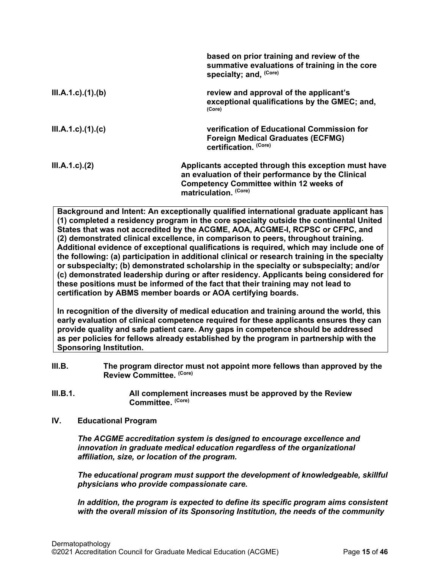|                           | based on prior training and review of the<br>summative evaluations of training in the core<br>specialty; and, (Core)                                                                  |
|---------------------------|---------------------------------------------------------------------------------------------------------------------------------------------------------------------------------------|
| III.A.1.c)(1)(b)          | review and approval of the applicant's<br>exceptional qualifications by the GMEC; and,<br>(Core)                                                                                      |
| $III.A.1.c$ ). $(1).$ (c) | verification of Educational Commission for<br><b>Foreign Medical Graduates (ECFMG)</b><br>certification. (Core)                                                                       |
| $III.A.1.c$ ). $(2)$      | Applicants accepted through this exception must have<br>an evaluation of their performance by the Clinical<br><b>Competency Committee within 12 weeks of</b><br>matriculation. (Core) |

**Background and Intent: An exceptionally qualified international graduate applicant has (1) completed a residency program in the core specialty outside the continental United States that was not accredited by the ACGME, AOA, ACGME-I, RCPSC or CFPC, and (2) demonstrated clinical excellence, in comparison to peers, throughout training. Additional evidence of exceptional qualifications is required, which may include one of the following: (a) participation in additional clinical or research training in the specialty or subspecialty; (b) demonstrated scholarship in the specialty or subspecialty; and/or (c) demonstrated leadership during or after residency. Applicants being considered for these positions must be informed of the fact that their training may not lead to certification by ABMS member boards or AOA certifying boards.**

**In recognition of the diversity of medical education and training around the world, this early evaluation of clinical competence required for these applicants ensures they can provide quality and safe patient care. Any gaps in competence should be addressed as per policies for fellows already established by the program in partnership with the Sponsoring Institution.**

- <span id="page-14-0"></span>**III.B. The program director must not appoint more fellows than approved by the Review Committee. (Core)**
- **III.B.1. All complement increases must be approved by the Review Committee. (Core)**
- <span id="page-14-1"></span>**IV. Educational Program**

*The ACGME accreditation system is designed to encourage excellence and innovation in graduate medical education regardless of the organizational affiliation, size, or location of the program.*

*The educational program must support the development of knowledgeable, skillful physicians who provide compassionate care.*

*In addition, the program is expected to define its specific program aims consistent with the overall mission of its Sponsoring Institution, the needs of the community*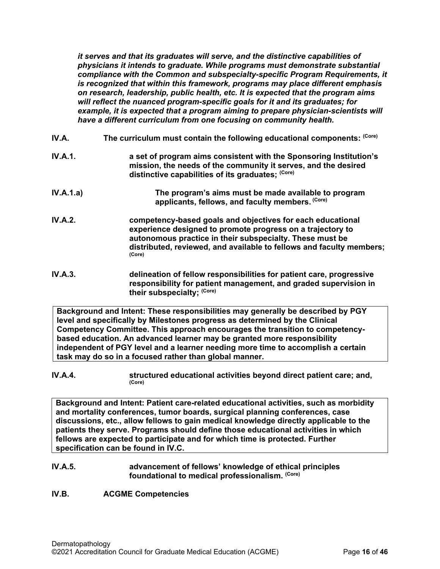*it serves and that its graduates will serve, and the distinctive capabilities of physicians it intends to graduate. While programs must demonstrate substantial compliance with the Common and subspecialty-specific Program Requirements, it is recognized that within this framework, programs may place different emphasis on research, leadership, public health, etc. It is expected that the program aims will reflect the nuanced program-specific goals for it and its graduates; for*  example, it is expected that a program aiming to prepare physician-scientists will *have a different curriculum from one focusing on community health.*

- <span id="page-15-0"></span>**IV.A.** The curriculum must contain the following educational components: <sup>(Core)</sup>
- **IV.A.1. a set of program aims consistent with the Sponsoring Institution's mission, the needs of the community it serves, and the desired distinctive capabilities of its graduates; (Core)**
- **IV.A.1.a) The program's aims must be made available to program applicants, fellows, and faculty members. (Core)**
- **IV.A.2. competency-based goals and objectives for each educational experience designed to promote progress on a trajectory to autonomous practice in their subspecialty. These must be distributed, reviewed, and available to fellows and faculty members; (Core)**
- **IV.A.3. delineation of fellow responsibilities for patient care, progressive responsibility for patient management, and graded supervision in their subspecialty; (Core)**

**Background and Intent: These responsibilities may generally be described by PGY level and specifically by Milestones progress as determined by the Clinical Competency Committee. This approach encourages the transition to competencybased education. An advanced learner may be granted more responsibility independent of PGY level and a learner needing more time to accomplish a certain task may do so in a focused rather than global manner.**

**IV.A.4. structured educational activities beyond direct patient care; and,**  $(Core)$ 

**Background and Intent: Patient care-related educational activities, such as morbidity and mortality conferences, tumor boards, surgical planning conferences, case discussions, etc., allow fellows to gain medical knowledge directly applicable to the patients they serve. Programs should define those educational activities in which fellows are expected to participate and for which time is protected. Further specification can be found in IV.C.**

## **IV.A.5. advancement of fellows' knowledge of ethical principles foundational to medical professionalism. (Core)**

<span id="page-15-1"></span>**IV.B. ACGME Competencies**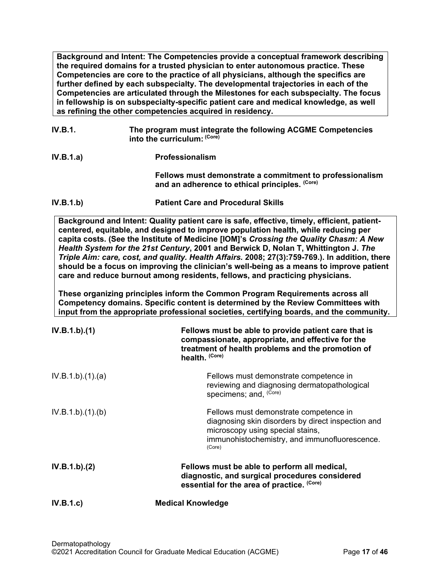**Background and Intent: The Competencies provide a conceptual framework describing the required domains for a trusted physician to enter autonomous practice. These Competencies are core to the practice of all physicians, although the specifics are further defined by each subspecialty. The developmental trajectories in each of the Competencies are articulated through the Milestones for each subspecialty. The focus in fellowship is on subspecialty-specific patient care and medical knowledge, as well as refining the other competencies acquired in residency.**

**IV.B.1. The program must integrate the following ACGME Competencies into the curriculum: (Core) IV.B.1.a) Professionalism Fellows must demonstrate a commitment to professionalism and an adherence to ethical principles. (Core) IV.B.1.b) Patient Care and Procedural Skills**

**Background and Intent: Quality patient care is safe, effective, timely, efficient, patientcentered, equitable, and designed to improve population health, while reducing per capita costs. (See the Institute of Medicine [IOM]'s** *Crossing the Quality Chasm: A New Health System for the 21st Century***, 2001 and Berwick D, Nolan T, Whittington J.** *The Triple Aim: care, cost, and quality. Health Affairs.* **2008; 27(3):759-769.). In addition, there should be a focus on improving the clinician's well-being as a means to improve patient care and reduce burnout among residents, fellows, and practicing physicians.**

**These organizing principles inform the Common Program Requirements across all Competency domains. Specific content is determined by the Review Committees with input from the appropriate professional societies, certifying boards, and the community.**

| IV.B.1.b)(1)    | Fellows must be able to provide patient care that is<br>compassionate, appropriate, and effective for the<br>treatment of health problems and the promotion of<br>health. (Core)            |
|-----------------|---------------------------------------------------------------------------------------------------------------------------------------------------------------------------------------------|
| IV.B.1.b)(1)(a) | Fellows must demonstrate competence in<br>reviewing and diagnosing dermatopathological<br>specimens; and, (Core)                                                                            |
| IV.B.1.b)(1)(b) | Fellows must demonstrate competence in<br>diagnosing skin disorders by direct inspection and<br>microscopy using special stains,<br>immunohistochemistry, and immunofluorescence.<br>(Core) |
| IV.B.1.b)(2)    | Fellows must be able to perform all medical,<br>diagnostic, and surgical procedures considered<br>essential for the area of practice. (Core)                                                |
| IV.B.1.c        | <b>Medical Knowledge</b>                                                                                                                                                                    |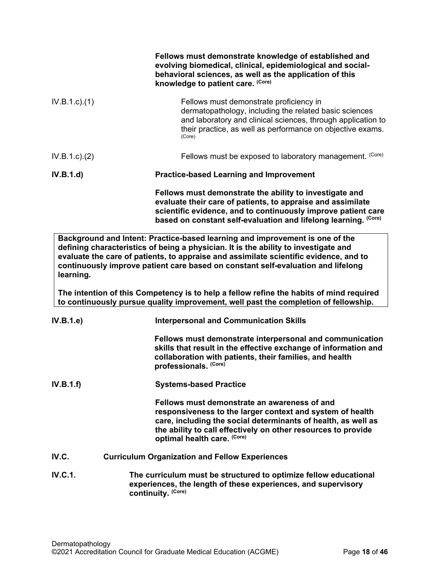|                 | Fellows must demonstrate knowledge of established and<br>evolving biomedical, clinical, epidemiological and social-<br>behavioral sciences, as well as the application of this<br>knowledge to patient care. (Core)                                        |  |
|-----------------|------------------------------------------------------------------------------------------------------------------------------------------------------------------------------------------------------------------------------------------------------------|--|
| $IV.B.1.c.$ (1) | Fellows must demonstrate proficiency in<br>dermatopathology, including the related basic sciences<br>and laboratory and clinical sciences, through application to<br>their practice, as well as performance on objective exams.<br>(Core)                  |  |
| IV.B.1.c). (2)  | Fellows must be exposed to laboratory management. (Core)                                                                                                                                                                                                   |  |
| IV.B.1.d)       | <b>Practice-based Learning and Improvement</b>                                                                                                                                                                                                             |  |
|                 | Fellows must demonstrate the ability to investigate and<br>evaluate their care of patients, to appraise and assimilate<br>scientific evidence, and to continuously improve patient care<br>based on constant self-evaluation and lifelong learning. (Core) |  |
|                 | Background and Intent: Practice-based learning and improvement is one of the<br>defining aharastariation of haing a physician. It is the ability to investigate and                                                                                        |  |

**defining characteristics of being a physician. It is the ability to investigate and evaluate the care of patients, to appraise and assimilate scientific evidence, and to continuously improve patient care based on constant self-evaluation and lifelong learning.**

**The intention of this Competency is to help a fellow refine the habits of mind required to continuously pursue quality improvement, well past the completion of fellowship.**

<span id="page-17-0"></span>

| IV.B.1.e | <b>Interpersonal and Communication Skills</b>                                                                                                                                                                                                                              |
|----------|----------------------------------------------------------------------------------------------------------------------------------------------------------------------------------------------------------------------------------------------------------------------------|
|          | Fellows must demonstrate interpersonal and communication<br>skills that result in the effective exchange of information and<br>collaboration with patients, their families, and health<br>professionals. (Core)                                                            |
| IV.B.1.f | <b>Systems-based Practice</b>                                                                                                                                                                                                                                              |
|          | Fellows must demonstrate an awareness of and<br>responsiveness to the larger context and system of health<br>care, including the social determinants of health, as well as<br>the ability to call effectively on other resources to provide<br>optimal health care. (Core) |
| IV.C.    | <b>Curriculum Organization and Fellow Experiences</b>                                                                                                                                                                                                                      |
| IV.C.1.  | The curriculum must be structured to optimize fellow educational<br>experiences, the length of these experiences, and supervisory<br>continuity. (Core)                                                                                                                    |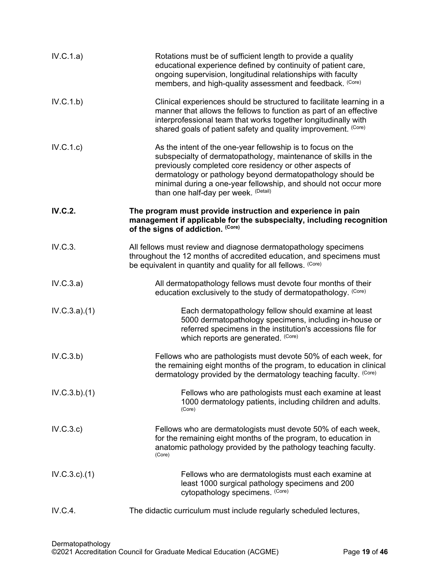| IV.C.1.a)      | Rotations must be of sufficient length to provide a quality<br>educational experience defined by continuity of patient care,<br>ongoing supervision, longitudinal relationships with faculty<br>members, and high-quality assessment and feedback. (Core)                                                                                                         |
|----------------|-------------------------------------------------------------------------------------------------------------------------------------------------------------------------------------------------------------------------------------------------------------------------------------------------------------------------------------------------------------------|
| IV.C.1.b)      | Clinical experiences should be structured to facilitate learning in a<br>manner that allows the fellows to function as part of an effective<br>interprofessional team that works together longitudinally with<br>shared goals of patient safety and quality improvement. (Core)                                                                                   |
| IV.C.1.c)      | As the intent of the one-year fellowship is to focus on the<br>subspecialty of dermatopathology, maintenance of skills in the<br>previously completed core residency or other aspects of<br>dermatology or pathology beyond dermatopathology should be<br>minimal during a one-year fellowship, and should not occur more<br>than one half-day per week. (Detail) |
| <b>IV.C.2.</b> | The program must provide instruction and experience in pain<br>management if applicable for the subspecialty, including recognition<br>of the signs of addiction. (Core)                                                                                                                                                                                          |
| IV.C.3.        | All fellows must review and diagnose dermatopathology specimens<br>throughout the 12 months of accredited education, and specimens must<br>be equivalent in quantity and quality for all fellows. (Core)                                                                                                                                                          |
| IV.C.3.a)      | All dermatopathology fellows must devote four months of their<br>education exclusively to the study of dermatopathology. (Core)                                                                                                                                                                                                                                   |
| IV.C.3.a)(1)   | Each dermatopathology fellow should examine at least<br>5000 dermatopathology specimens, including in-house or<br>referred specimens in the institution's accessions file for<br>which reports are generated. (Core)                                                                                                                                              |
| IV.C.3.b)      | Fellows who are pathologists must devote 50% of each week, for<br>the remaining eight months of the program, to education in clinical<br>dermatology provided by the dermatology teaching faculty. (Core)                                                                                                                                                         |
| IV.C.3.b)(1)   | Fellows who are pathologists must each examine at least<br>1000 dermatology patients, including children and adults.<br>(Core)                                                                                                                                                                                                                                    |
| IV.C.3.c)      | Fellows who are dermatologists must devote 50% of each week,<br>for the remaining eight months of the program, to education in<br>anatomic pathology provided by the pathology teaching faculty.<br>(Core)                                                                                                                                                        |
| IV.C.3.c.1)    | Fellows who are dermatologists must each examine at<br>least 1000 surgical pathology specimens and 200<br>cytopathology specimens. (Core)                                                                                                                                                                                                                         |
| IV.C.4.        | The didactic curriculum must include regularly scheduled lectures,                                                                                                                                                                                                                                                                                                |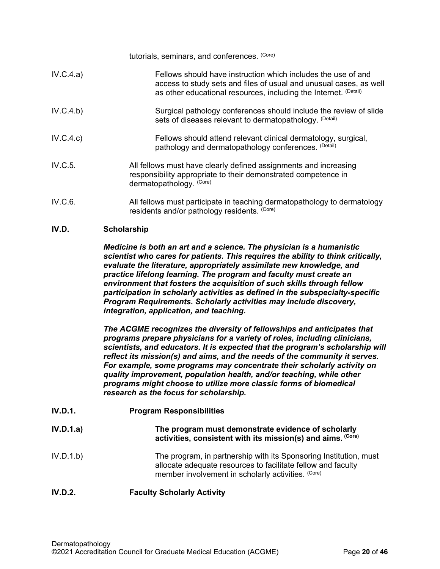|           | tutorials, seminars, and conferences. (Core)                                                                                                                                                            |
|-----------|---------------------------------------------------------------------------------------------------------------------------------------------------------------------------------------------------------|
| IV.C.4.a) | Fellows should have instruction which includes the use of and<br>access to study sets and files of usual and unusual cases, as well<br>as other educational resources, including the Internet. (Detail) |
| IV.C.4.b) | Surgical pathology conferences should include the review of slide<br>sets of diseases relevant to dermatopathology. (Detail)                                                                            |
| IV.C.4.c) | Fellows should attend relevant clinical dermatology, surgical,<br>pathology and dermatopathology conferences. (Detail)                                                                                  |
| IV.C.5.   | All fellows must have clearly defined assignments and increasing<br>responsibility appropriate to their demonstrated competence in<br>dermatopathology. (Core)                                          |
| IV.C.6.   | All fellows must participate in teaching dermatopathology to dermatology<br>residents and/or pathology residents. (Core)                                                                                |

## <span id="page-19-0"></span>**IV.D. Scholarship**

*Medicine is both an art and a science. The physician is a humanistic scientist who cares for patients. This requires the ability to think critically, evaluate the literature, appropriately assimilate new knowledge, and practice lifelong learning. The program and faculty must create an environment that fosters the acquisition of such skills through fellow participation in scholarly activities as defined in the subspecialty-specific Program Requirements. Scholarly activities may include discovery, integration, application, and teaching.*

*The ACGME recognizes the diversity of fellowships and anticipates that programs prepare physicians for a variety of roles, including clinicians, scientists, and educators. It is expected that the program's scholarship will reflect its mission(s) and aims, and the needs of the community it serves. For example, some programs may concentrate their scholarly activity on quality improvement, population health, and/or teaching, while other programs might choose to utilize more classic forms of biomedical research as the focus for scholarship.*

**IV.D.1. Program Responsibilities IV.D.1.a) The program must demonstrate evidence of scholarly activities, consistent with its mission(s) and aims. (Core)** IV.D.1.b) The program, in partnership with its Sponsoring Institution, must allocate adequate resources to facilitate fellow and faculty member involvement in scholarly activities. (Core)

## **IV.D.2. Faculty Scholarly Activity**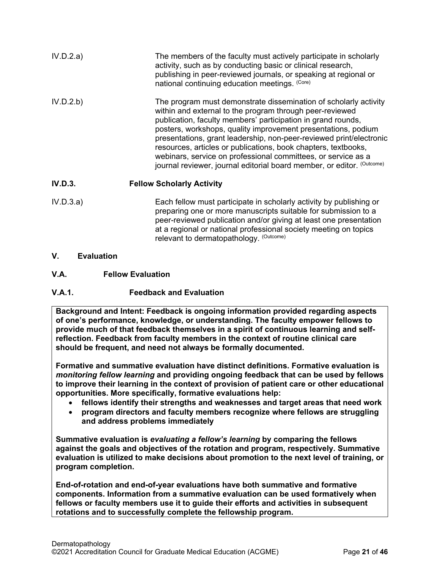| IV.D.2.a) | The members of the faculty must actively participate in scholarly<br>activity, such as by conducting basic or clinical research,<br>publishing in peer-reviewed journals, or speaking at regional or<br>national continuing education meetings. (Core)                                                                                                                                                                                                                                                                                            |
|-----------|---------------------------------------------------------------------------------------------------------------------------------------------------------------------------------------------------------------------------------------------------------------------------------------------------------------------------------------------------------------------------------------------------------------------------------------------------------------------------------------------------------------------------------------------------|
| IV.D.2.b) | The program must demonstrate dissemination of scholarly activity<br>within and external to the program through peer-reviewed<br>publication, faculty members' participation in grand rounds,<br>posters, workshops, quality improvement presentations, podium<br>presentations, grant leadership, non-peer-reviewed print/electronic<br>resources, articles or publications, book chapters, textbooks,<br>webinars, service on professional committees, or service as a<br>journal reviewer, journal editorial board member, or editor. (Outcome) |
| IV.D.3.   | <b>Fellow Scholarly Activity</b>                                                                                                                                                                                                                                                                                                                                                                                                                                                                                                                  |
| IV D $3a$ | Each fellow must participate in scholarly activity by publishing or                                                                                                                                                                                                                                                                                                                                                                                                                                                                               |

- IV.D.3.a) Each fellow must participate in scholarly activity by publishing or preparing one or more manuscripts suitable for submission to a peer-reviewed publication and/or giving at least one presentation at a regional or national professional society meeting on topics relevant to dermatopathology. (Outcome)
- <span id="page-20-0"></span>**V. Evaluation**
- <span id="page-20-1"></span>**V.A. Fellow Evaluation**

# **V.A.1. Feedback and Evaluation**

**Background and Intent: Feedback is ongoing information provided regarding aspects of one's performance, knowledge, or understanding. The faculty empower fellows to provide much of that feedback themselves in a spirit of continuous learning and selfreflection. Feedback from faculty members in the context of routine clinical care should be frequent, and need not always be formally documented.**

**Formative and summative evaluation have distinct definitions. Formative evaluation is**  *monitoring fellow learning* **and providing ongoing feedback that can be used by fellows to improve their learning in the context of provision of patient care or other educational opportunities. More specifically, formative evaluations help:**

- **fellows identify their strengths and weaknesses and target areas that need work**
- **program directors and faculty members recognize where fellows are struggling and address problems immediately**

**Summative evaluation is** *evaluating a fellow's learning* **by comparing the fellows against the goals and objectives of the rotation and program, respectively. Summative evaluation is utilized to make decisions about promotion to the next level of training, or program completion.**

**End-of-rotation and end-of-year evaluations have both summative and formative components. Information from a summative evaluation can be used formatively when fellows or faculty members use it to guide their efforts and activities in subsequent rotations and to successfully complete the fellowship program.**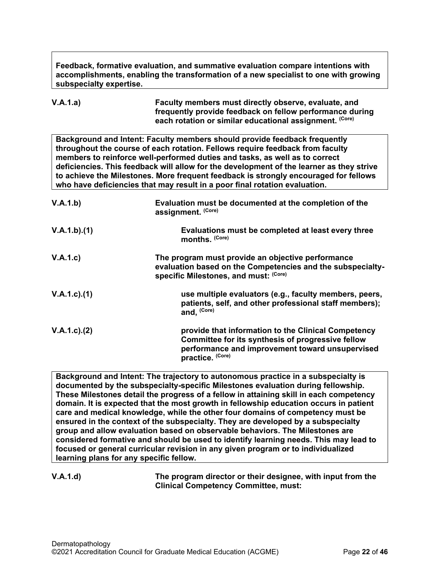**Feedback, formative evaluation, and summative evaluation compare intentions with accomplishments, enabling the transformation of a new specialist to one with growing subspecialty expertise.** 

**V.A.1.a) Faculty members must directly observe, evaluate, and frequently provide feedback on fellow performance during each rotation or similar educational assignment. (Core)**

**Background and Intent: Faculty members should provide feedback frequently throughout the course of each rotation. Fellows require feedback from faculty members to reinforce well-performed duties and tasks, as well as to correct deficiencies. This feedback will allow for the development of the learner as they strive to achieve the Milestones. More frequent feedback is strongly encouraged for fellows who have deficiencies that may result in a poor final rotation evaluation.**

| V.A.1.b)          | Evaluation must be documented at the completion of the<br>assignment. (Core)                                                                                                    |
|-------------------|---------------------------------------------------------------------------------------------------------------------------------------------------------------------------------|
| V.A.1.b)(1)       | Evaluations must be completed at least every three<br>months. (Core)                                                                                                            |
| V.A.1.c)          | The program must provide an objective performance<br>evaluation based on the Competencies and the subspecialty-<br>specific Milestones, and must: (Core)                        |
| $V.A.1.c$ . $(1)$ | use multiple evaluators (e.g., faculty members, peers,<br>patients, self, and other professional staff members);<br>and, (Core)                                                 |
| $V.A.1.c$ . $(2)$ | provide that information to the Clinical Competency<br>Committee for its synthesis of progressive fellow<br>performance and improvement toward unsupervised<br>practice. (Core) |

**Background and Intent: The trajectory to autonomous practice in a subspecialty is documented by the subspecialty-specific Milestones evaluation during fellowship. These Milestones detail the progress of a fellow in attaining skill in each competency domain. It is expected that the most growth in fellowship education occurs in patient care and medical knowledge, while the other four domains of competency must be ensured in the context of the subspecialty. They are developed by a subspecialty group and allow evaluation based on observable behaviors. The Milestones are considered formative and should be used to identify learning needs. This may lead to focused or general curricular revision in any given program or to individualized learning plans for any specific fellow.**

**V.A.1.d) The program director or their designee, with input from the Clinical Competency Committee, must:**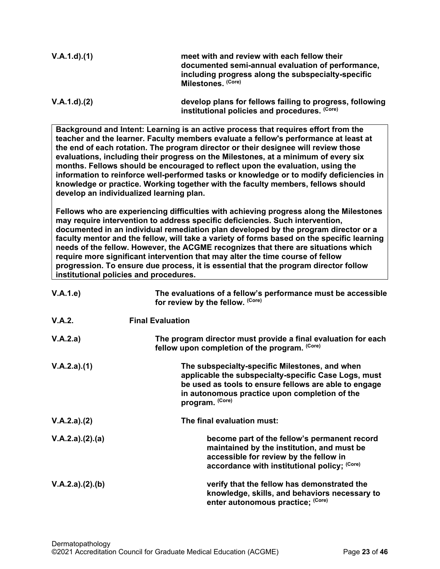| V.A.1.d)(1)                              | meet with and review with each fellow their<br>documented semi-annual evaluation of performance,<br>including progress along the subspecialty-specific<br>Milestones. (Core)                                                                                                                                                                                                                                                                                                                                                                                                                                                 |
|------------------------------------------|------------------------------------------------------------------------------------------------------------------------------------------------------------------------------------------------------------------------------------------------------------------------------------------------------------------------------------------------------------------------------------------------------------------------------------------------------------------------------------------------------------------------------------------------------------------------------------------------------------------------------|
| V.A.1.d)(2)                              | develop plans for fellows failing to progress, following<br>institutional policies and procedures. (Core)                                                                                                                                                                                                                                                                                                                                                                                                                                                                                                                    |
| develop an individualized learning plan. | Background and Intent: Learning is an active process that requires effort from the<br>teacher and the learner. Faculty members evaluate a fellow's performance at least at<br>the end of each rotation. The program director or their designee will review those<br>evaluations, including their progress on the Milestones, at a minimum of every six<br>months. Fellows should be encouraged to reflect upon the evaluation, using the<br>information to reinforce well-performed tasks or knowledge or to modify deficiencies in<br>knowledge or practice. Working together with the faculty members, fellows should      |
| institutional policies and procedures.   | Fellows who are experiencing difficulties with achieving progress along the Milestones<br>may require intervention to address specific deficiencies. Such intervention,<br>documented in an individual remediation plan developed by the program director or a<br>faculty mentor and the fellow, will take a variety of forms based on the specific learning<br>needs of the fellow. However, the ACGME recognizes that there are situations which<br>require more significant intervention that may alter the time course of fellow<br>progression. To ensure due process, it is essential that the program director follow |
| V.A.1.e)                                 | The evaluations of a fellow's performance must be accessible<br>for review by the fellow. (Core)                                                                                                                                                                                                                                                                                                                                                                                                                                                                                                                             |
| V.A.2.                                   | <b>Final Evaluation</b>                                                                                                                                                                                                                                                                                                                                                                                                                                                                                                                                                                                                      |
| V.A.2.a)                                 | The program director must provide a final evaluation for each<br>fellow upon completion of the program. (Core)                                                                                                                                                                                                                                                                                                                                                                                                                                                                                                               |
| V.A.2.a)(1)                              | The subspecialty-specific Milestones, and when<br>applicable the subspecialty-specific Case Logs, must<br>be used as tools to ensure fellows are able to engage<br>in autonomous practice upon completion of the<br>program. (Core)                                                                                                                                                                                                                                                                                                                                                                                          |
| V.A.2.a)(2)                              | The final evaluation must:                                                                                                                                                                                                                                                                                                                                                                                                                                                                                                                                                                                                   |
| V.A.2.a)(2).(a)                          | become part of the fellow's permanent record<br>maintained by the institution, and must be<br>accessible for review by the fellow in<br>accordance with institutional policy; (Core)                                                                                                                                                                                                                                                                                                                                                                                                                                         |
| V.A.2.a)(2).(b)                          | verify that the fellow has demonstrated the                                                                                                                                                                                                                                                                                                                                                                                                                                                                                                                                                                                  |

**knowledge, skills, and behaviors necessary to** 

**enter autonomous practice; (Core)**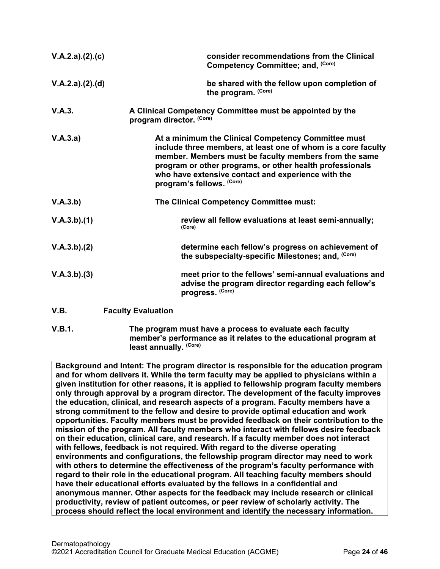| V.A.2.a)(2).(c) |                           | consider recommendations from the Clinical<br>Competency Committee; and, (Core)                                                                                                                                                                                                                                              |
|-----------------|---------------------------|------------------------------------------------------------------------------------------------------------------------------------------------------------------------------------------------------------------------------------------------------------------------------------------------------------------------------|
| V.A.2.a)(2).(d) |                           | be shared with the fellow upon completion of<br>the program. (Core)                                                                                                                                                                                                                                                          |
| V.A.3.          | program director. (Core)  | A Clinical Competency Committee must be appointed by the                                                                                                                                                                                                                                                                     |
| V.A.3.a)        |                           | At a minimum the Clinical Competency Committee must<br>include three members, at least one of whom is a core faculty<br>member. Members must be faculty members from the same<br>program or other programs, or other health professionals<br>who have extensive contact and experience with the<br>program's fellows. (Core) |
| V.A.3.b)        |                           | The Clinical Competency Committee must:                                                                                                                                                                                                                                                                                      |
| V.A.3.b)(1)     |                           | review all fellow evaluations at least semi-annually;<br>(Core)                                                                                                                                                                                                                                                              |
| V.A.3.b)(2)     |                           | determine each fellow's progress on achievement of<br>the subspecialty-specific Milestones; and, (Core)                                                                                                                                                                                                                      |
| V.A.3.b)(3)     |                           | meet prior to the fellows' semi-annual evaluations and<br>advise the program director regarding each fellow's<br>progress. (Core)                                                                                                                                                                                            |
| V.B.            | <b>Faculty Evaluation</b> |                                                                                                                                                                                                                                                                                                                              |

<span id="page-23-0"></span>**V.B.1. The program must have a process to evaluate each faculty member's performance as it relates to the educational program at least annually. (Core)**

**Background and Intent: The program director is responsible for the education program and for whom delivers it. While the term faculty may be applied to physicians within a given institution for other reasons, it is applied to fellowship program faculty members only through approval by a program director. The development of the faculty improves the education, clinical, and research aspects of a program. Faculty members have a strong commitment to the fellow and desire to provide optimal education and work opportunities. Faculty members must be provided feedback on their contribution to the mission of the program. All faculty members who interact with fellows desire feedback on their education, clinical care, and research. If a faculty member does not interact with fellows, feedback is not required. With regard to the diverse operating environments and configurations, the fellowship program director may need to work with others to determine the effectiveness of the program's faculty performance with regard to their role in the educational program. All teaching faculty members should have their educational efforts evaluated by the fellows in a confidential and anonymous manner. Other aspects for the feedback may include research or clinical productivity, review of patient outcomes, or peer review of scholarly activity. The process should reflect the local environment and identify the necessary information.**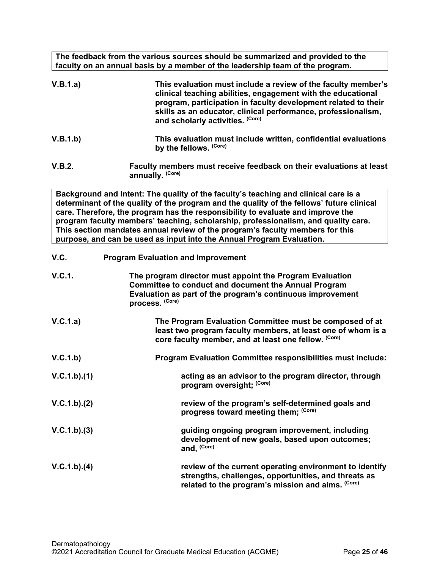**The feedback from the various sources should be summarized and provided to the faculty on an annual basis by a member of the leadership team of the program.**

| V.B.1.a) | This evaluation must include a review of the faculty member's<br>clinical teaching abilities, engagement with the educational<br>program, participation in faculty development related to their<br>skills as an educator, clinical performance, professionalism,<br>and scholarly activities. (Core) |
|----------|------------------------------------------------------------------------------------------------------------------------------------------------------------------------------------------------------------------------------------------------------------------------------------------------------|
| V.B.1.b) | This evaluation must include written, confidential evaluations<br>by the fellows. (Core)                                                                                                                                                                                                             |
| V.B.2.   | Faculty members must receive feedback on their evaluations at least<br>annually. (Core)                                                                                                                                                                                                              |

**Background and Intent: The quality of the faculty's teaching and clinical care is a determinant of the quality of the program and the quality of the fellows' future clinical care. Therefore, the program has the responsibility to evaluate and improve the program faculty members' teaching, scholarship, professionalism, and quality care. This section mandates annual review of the program's faculty members for this purpose, and can be used as input into the Annual Program Evaluation.**

<span id="page-24-0"></span>

| V.C.          | <b>Program Evaluation and Improvement</b>                                                                                                                                                                |  |
|---------------|----------------------------------------------------------------------------------------------------------------------------------------------------------------------------------------------------------|--|
| <b>V.C.1.</b> | The program director must appoint the Program Evaluation<br><b>Committee to conduct and document the Annual Program</b><br>Evaluation as part of the program's continuous improvement<br>process. (Core) |  |
| V.C.1.a)      | The Program Evaluation Committee must be composed of at<br>least two program faculty members, at least one of whom is a<br>core faculty member, and at least one fellow. (Core)                          |  |
| V.C.1.b)      | <b>Program Evaluation Committee responsibilities must include:</b>                                                                                                                                       |  |
| V.C.1.b)(1)   | acting as an advisor to the program director, through<br>program oversight; (Core)                                                                                                                       |  |
| V.C.1.b)(2)   | review of the program's self-determined goals and<br>progress toward meeting them; (Core)                                                                                                                |  |
| V.C.1.b)(3)   | guiding ongoing program improvement, including<br>development of new goals, based upon outcomes;<br>and, (Core)                                                                                          |  |
| V.C.1.b)(4)   | review of the current operating environment to identify<br>strengths, challenges, opportunities, and threats as<br>related to the program's mission and aims. (Core)                                     |  |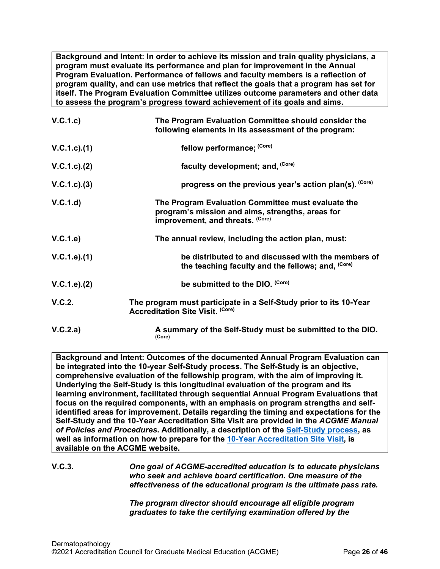**Background and Intent: In order to achieve its mission and train quality physicians, a program must evaluate its performance and plan for improvement in the Annual Program Evaluation. Performance of fellows and faculty members is a reflection of program quality, and can use metrics that reflect the goals that a program has set for itself. The Program Evaluation Committee utilizes outcome parameters and other data to assess the program's progress toward achievement of its goals and aims.**

| V.C.1.c         | The Program Evaluation Committee should consider the<br>following elements in its assessment of the program:                               |
|-----------------|--------------------------------------------------------------------------------------------------------------------------------------------|
| V.C.1.c).(1)    | fellow performance; (Core)                                                                                                                 |
| V.C.1.c). (2)   | faculty development; and, (Core)                                                                                                           |
| $V.C.1.c).$ (3) | progress on the previous year's action plan(s). (Core)                                                                                     |
| V.C.1.d         | The Program Evaluation Committee must evaluate the<br>program's mission and aims, strengths, areas for<br>improvement, and threats. (Core) |
| V.C.1.e         | The annual review, including the action plan, must:                                                                                        |
| V.C.1.e).(1)    | be distributed to and discussed with the members of<br>the teaching faculty and the fellows; and, (Core)                                   |
| V.C.1.e). (2)   | be submitted to the DIO. (Core)                                                                                                            |
| V.C.2.          | The program must participate in a Self-Study prior to its 10-Year<br><b>Accreditation Site Visit. (Core)</b>                               |
| V.C.2.a)        | A summary of the Self-Study must be submitted to the DIO.<br>(Core)                                                                        |

**Background and Intent: Outcomes of the documented Annual Program Evaluation can be integrated into the 10-year Self-Study process. The Self-Study is an objective, comprehensive evaluation of the fellowship program, with the aim of improving it. Underlying the Self-Study is this longitudinal evaluation of the program and its learning environment, facilitated through sequential Annual Program Evaluations that focus on the required components, with an emphasis on program strengths and selfidentified areas for improvement. Details regarding the timing and expectations for the Self-Study and the 10-Year Accreditation Site Visit are provided in the** *ACGME Manual of Policies and Procedures***. Additionally, a description of the [Self-Study process,](http://acgme.org/What-We-Do/Accreditation/Self-Study) as well as information on how to prepare for the [10-Year Accreditation Site Visit,](http://www.acgme.org/What-We-Do/Accreditation/Site-Visit/Eight-Steps-to-Prepare-for-the-10-Year-Accreditation-Site-Visit) is available on the ACGME website.**

# **V.C.3.** *One goal of ACGME-accredited education is to educate physicians who seek and achieve board certification. One measure of the effectiveness of the educational program is the ultimate pass rate.*

*The program director should encourage all eligible program graduates to take the certifying examination offered by the*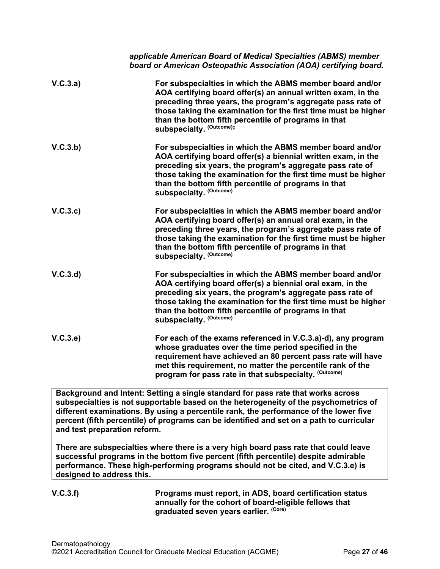|          | applicable American Board of Medical Specialties (ABMS) member<br>board or American Osteopathic Association (AOA) certifying board.                                                                                                                                                                                                           |
|----------|-----------------------------------------------------------------------------------------------------------------------------------------------------------------------------------------------------------------------------------------------------------------------------------------------------------------------------------------------|
| V.C.3.a) | For subspecialties in which the ABMS member board and/or<br>AOA certifying board offer(s) an annual written exam, in the<br>preceding three years, the program's aggregate pass rate of<br>those taking the examination for the first time must be higher<br>than the bottom fifth percentile of programs in that<br>subspecialty. (Outcome): |
| V.C.3.b) | For subspecialties in which the ABMS member board and/or<br>AOA certifying board offer(s) a biennial written exam, in the<br>preceding six years, the program's aggregate pass rate of<br>those taking the examination for the first time must be higher<br>than the bottom fifth percentile of programs in that<br>subspecialty. (Outcome)   |
| V.C.3.c  | For subspecialties in which the ABMS member board and/or<br>AOA certifying board offer(s) an annual oral exam, in the<br>preceding three years, the program's aggregate pass rate of<br>those taking the examination for the first time must be higher<br>than the bottom fifth percentile of programs in that<br>subspecialty. (Outcome)     |
| V.C.3.d  | For subspecialties in which the ABMS member board and/or<br>AOA certifying board offer(s) a biennial oral exam, in the<br>preceding six years, the program's aggregate pass rate of<br>those taking the examination for the first time must be higher<br>than the bottom fifth percentile of programs in that<br>subspecialty. (Outcome)      |
| V.C.3.e  | For each of the exams referenced in V.C.3.a)-d), any program<br>whose graduates over the time period specified in the<br>requirement have achieved an 80 percent pass rate will have<br>met this requirement, no matter the percentile rank of the<br>program for pass rate in that subspecialty. (Outcome)                                   |

**Background and Intent: Setting a single standard for pass rate that works across subspecialties is not supportable based on the heterogeneity of the psychometrics of different examinations. By using a percentile rank, the performance of the lower five percent (fifth percentile) of programs can be identified and set on a path to curricular and test preparation reform.**

**There are subspecialties where there is a very high board pass rate that could leave successful programs in the bottom five percent (fifth percentile) despite admirable performance. These high-performing programs should not be cited, and V.C.3.e) is designed to address this.**

**V.C.3.f) Programs must report, in ADS, board certification status annually for the cohort of board-eligible fellows that graduated seven years earlier. (Core)**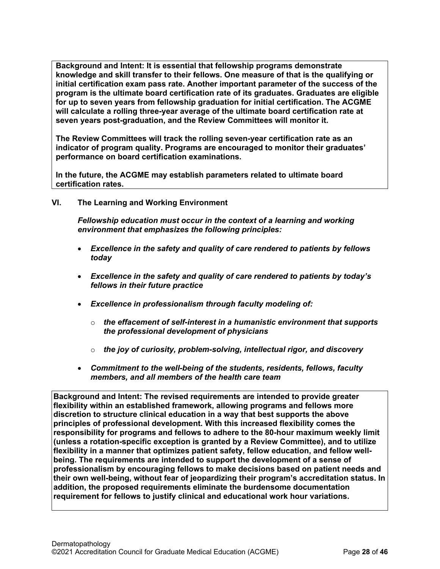**Background and Intent: It is essential that fellowship programs demonstrate knowledge and skill transfer to their fellows. One measure of that is the qualifying or initial certification exam pass rate. Another important parameter of the success of the program is the ultimate board certification rate of its graduates. Graduates are eligible for up to seven years from fellowship graduation for initial certification. The ACGME will calculate a rolling three-year average of the ultimate board certification rate at seven years post-graduation, and the Review Committees will monitor it.**

**The Review Committees will track the rolling seven-year certification rate as an indicator of program quality. Programs are encouraged to monitor their graduates' performance on board certification examinations.**

**In the future, the ACGME may establish parameters related to ultimate board certification rates.**

<span id="page-27-0"></span>**VI. The Learning and Working Environment**

*Fellowship education must occur in the context of a learning and working environment that emphasizes the following principles:*

- *Excellence in the safety and quality of care rendered to patients by fellows today*
- *Excellence in the safety and quality of care rendered to patients by today's fellows in their future practice*
- *Excellence in professionalism through faculty modeling of:*
	- o *the effacement of self-interest in a humanistic environment that supports the professional development of physicians*
	- o *the joy of curiosity, problem-solving, intellectual rigor, and discovery*
- *Commitment to the well-being of the students, residents, fellows, faculty members, and all members of the health care team*

**Background and Intent: The revised requirements are intended to provide greater flexibility within an established framework, allowing programs and fellows more discretion to structure clinical education in a way that best supports the above principles of professional development. With this increased flexibility comes the responsibility for programs and fellows to adhere to the 80-hour maximum weekly limit (unless a rotation-specific exception is granted by a Review Committee), and to utilize flexibility in a manner that optimizes patient safety, fellow education, and fellow wellbeing. The requirements are intended to support the development of a sense of professionalism by encouraging fellows to make decisions based on patient needs and their own well-being, without fear of jeopardizing their program's accreditation status. In addition, the proposed requirements eliminate the burdensome documentation requirement for fellows to justify clinical and educational work hour variations.**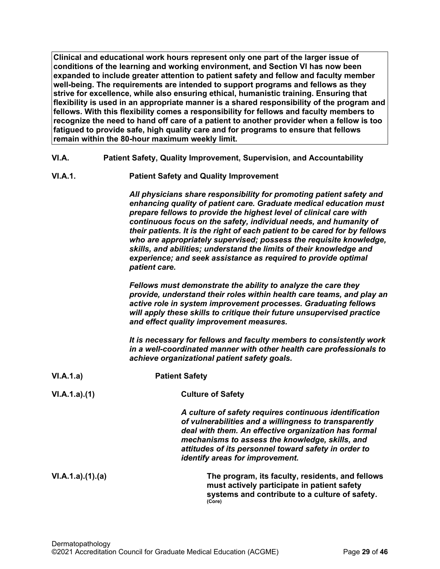**Clinical and educational work hours represent only one part of the larger issue of conditions of the learning and working environment, and Section VI has now been expanded to include greater attention to patient safety and fellow and faculty member well-being. The requirements are intended to support programs and fellows as they strive for excellence, while also ensuring ethical, humanistic training. Ensuring that flexibility is used in an appropriate manner is a shared responsibility of the program and fellows. With this flexibility comes a responsibility for fellows and faculty members to recognize the need to hand off care of a patient to another provider when a fellow is too fatigued to provide safe, high quality care and for programs to ensure that fellows remain within the 80-hour maximum weekly limit.**

- <span id="page-28-0"></span>**VI.A. Patient Safety, Quality Improvement, Supervision, and Accountability**
- **VI.A.1. Patient Safety and Quality Improvement**

*All physicians share responsibility for promoting patient safety and enhancing quality of patient care. Graduate medical education must prepare fellows to provide the highest level of clinical care with continuous focus on the safety, individual needs, and humanity of their patients. It is the right of each patient to be cared for by fellows who are appropriately supervised; possess the requisite knowledge, skills, and abilities; understand the limits of their knowledge and experience; and seek assistance as required to provide optimal patient care.*

*Fellows must demonstrate the ability to analyze the care they provide, understand their roles within health care teams, and play an active role in system improvement processes. Graduating fellows will apply these skills to critique their future unsupervised practice and effect quality improvement measures.*

*It is necessary for fellows and faculty members to consistently work in a well-coordinated manner with other health care professionals to achieve organizational patient safety goals.*

| VI.A.1.a)       | <b>Patient Safety</b>                                                                                                                                                                                                                                                                                                 |
|-----------------|-----------------------------------------------------------------------------------------------------------------------------------------------------------------------------------------------------------------------------------------------------------------------------------------------------------------------|
| VI.A.1.a)(1)    | <b>Culture of Safety</b>                                                                                                                                                                                                                                                                                              |
|                 | A culture of safety requires continuous identification<br>of vulnerabilities and a willingness to transparently<br>deal with them. An effective organization has formal<br>mechanisms to assess the knowledge, skills, and<br>attitudes of its personnel toward safety in order to<br>identify areas for improvement. |
| VI.A.1.a)(1)(a) | The program, its faculty, residents, and fellows<br>must actively participate in patient safety<br>systems and contribute to a culture of safety.<br>(Core)                                                                                                                                                           |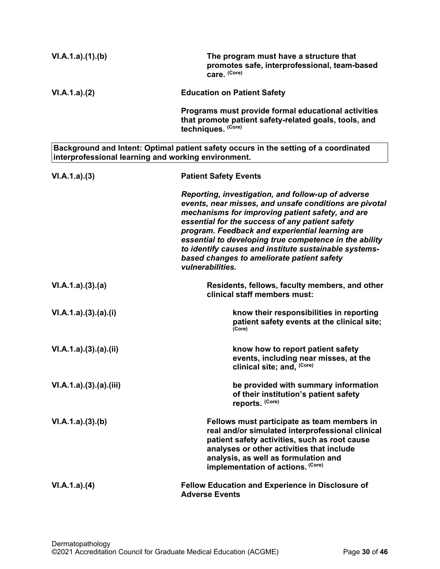| VI.A.1.a)(1)(b)                                     | The program must have a structure that<br>promotes safe, interprofessional, team-based<br>care. (Core)                                                                                                                                                                                                                                                                                                                                                      |
|-----------------------------------------------------|-------------------------------------------------------------------------------------------------------------------------------------------------------------------------------------------------------------------------------------------------------------------------------------------------------------------------------------------------------------------------------------------------------------------------------------------------------------|
| VI.A.1.a)(2)                                        | <b>Education on Patient Safety</b>                                                                                                                                                                                                                                                                                                                                                                                                                          |
|                                                     | Programs must provide formal educational activities<br>that promote patient safety-related goals, tools, and<br>techniques. (Core)                                                                                                                                                                                                                                                                                                                          |
| interprofessional learning and working environment. | Background and Intent: Optimal patient safety occurs in the setting of a coordinated                                                                                                                                                                                                                                                                                                                                                                        |
| VI.A.1.a)(3)                                        | <b>Patient Safety Events</b>                                                                                                                                                                                                                                                                                                                                                                                                                                |
|                                                     | Reporting, investigation, and follow-up of adverse<br>events, near misses, and unsafe conditions are pivotal<br>mechanisms for improving patient safety, and are<br>essential for the success of any patient safety<br>program. Feedback and experiential learning are<br>essential to developing true competence in the ability<br>to identify causes and institute sustainable systems-<br>based changes to ameliorate patient safety<br>vulnerabilities. |
| VI.A.1.a)(3)(a)                                     | Residents, fellows, faculty members, and other<br>clinical staff members must:                                                                                                                                                                                                                                                                                                                                                                              |
| VI.A.1.a)(3)(a)(i)                                  | know their responsibilities in reporting<br>patient safety events at the clinical site;<br>(Core)                                                                                                                                                                                                                                                                                                                                                           |
| VI.A.1.a)(3).(a).(ii)                               | know how to report patient safety<br>events, including near misses, at the<br>clinical site; and, (Core)                                                                                                                                                                                                                                                                                                                                                    |
| VI.A.1.a)(3).(a).(iii)                              | be provided with summary information<br>of their institution's patient safety<br>reports. (Core)                                                                                                                                                                                                                                                                                                                                                            |
| VI.A.1.a)(3)(b)                                     | Fellows must participate as team members in<br>real and/or simulated interprofessional clinical<br>patient safety activities, such as root cause<br>analyses or other activities that include<br>analysis, as well as formulation and<br>implementation of actions. (Core)                                                                                                                                                                                  |
| VI.A.1.a)(4)                                        | <b>Fellow Education and Experience in Disclosure of</b><br><b>Adverse Events</b>                                                                                                                                                                                                                                                                                                                                                                            |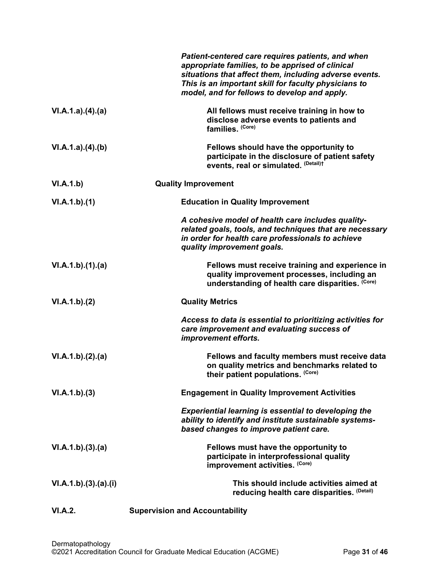|                    | Patient-centered care requires patients, and when<br>appropriate families, to be apprised of clinical<br>situations that affect them, including adverse events.<br>This is an important skill for faculty physicians to<br>model, and for fellows to develop and apply. |
|--------------------|-------------------------------------------------------------------------------------------------------------------------------------------------------------------------------------------------------------------------------------------------------------------------|
| VI.A.1.a).(4).(a)  | All fellows must receive training in how to<br>disclose adverse events to patients and<br>families. (Core)                                                                                                                                                              |
| VI.A.1.a)(4)(b)    | Fellows should have the opportunity to<br>participate in the disclosure of patient safety<br>events, real or simulated. (Detail)t                                                                                                                                       |
| VI.A.1.b)          | <b>Quality Improvement</b>                                                                                                                                                                                                                                              |
| VI.A.1.b)(1)       | <b>Education in Quality Improvement</b>                                                                                                                                                                                                                                 |
|                    | A cohesive model of health care includes quality-<br>related goals, tools, and techniques that are necessary<br>in order for health care professionals to achieve<br>quality improvement goals.                                                                         |
| VI.A.1.b)(1)(a)    | Fellows must receive training and experience in<br>quality improvement processes, including an<br>understanding of health care disparities. (Core)                                                                                                                      |
| VI.A.1.b)(2)       | <b>Quality Metrics</b>                                                                                                                                                                                                                                                  |
|                    | Access to data is essential to prioritizing activities for<br>care improvement and evaluating success of<br>improvement efforts.                                                                                                                                        |
| VI.A.1.b)(2).(a)   | Fellows and faculty members must receive data<br>on quality metrics and benchmarks related to<br>their patient populations. (Core)                                                                                                                                      |
| VI.A.1.b)(3)       | <b>Engagement in Quality Improvement Activities</b>                                                                                                                                                                                                                     |
|                    | <b>Experiential learning is essential to developing the</b><br>ability to identify and institute sustainable systems-<br>based changes to improve patient care.                                                                                                         |
| VI.A.1.b)(3).(a)   | Fellows must have the opportunity to<br>participate in interprofessional quality<br>improvement activities. (Core)                                                                                                                                                      |
| VI.A.1.b)(3)(a)(i) | This should include activities aimed at<br>reducing health care disparities. (Detail)                                                                                                                                                                                   |
| VI.A.2.            | <b>Supervision and Accountability</b>                                                                                                                                                                                                                                   |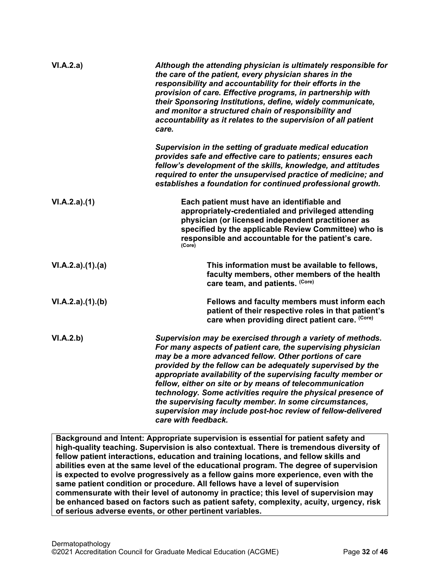| VI.A.2.a)        | Although the attending physician is ultimately responsible for<br>the care of the patient, every physician shares in the<br>responsibility and accountability for their efforts in the<br>provision of care. Effective programs, in partnership with<br>their Sponsoring Institutions, define, widely communicate,<br>and monitor a structured chain of responsibility and<br>accountability as it relates to the supervision of all patient<br>care.                                                                                                                                        |
|------------------|----------------------------------------------------------------------------------------------------------------------------------------------------------------------------------------------------------------------------------------------------------------------------------------------------------------------------------------------------------------------------------------------------------------------------------------------------------------------------------------------------------------------------------------------------------------------------------------------|
|                  | Supervision in the setting of graduate medical education<br>provides safe and effective care to patients; ensures each<br>fellow's development of the skills, knowledge, and attitudes<br>required to enter the unsupervised practice of medicine; and<br>establishes a foundation for continued professional growth.                                                                                                                                                                                                                                                                        |
| VI.A.2.a)(1)     | Each patient must have an identifiable and<br>appropriately-credentialed and privileged attending<br>physician (or licensed independent practitioner as<br>specified by the applicable Review Committee) who is<br>responsible and accountable for the patient's care.<br>(Core)                                                                                                                                                                                                                                                                                                             |
| VI.A.2.a)(1).(a) | This information must be available to fellows,<br>faculty members, other members of the health<br>care team, and patients. (Core)                                                                                                                                                                                                                                                                                                                                                                                                                                                            |
| VI.A.2.a)(1)(b)  | Fellows and faculty members must inform each<br>patient of their respective roles in that patient's<br>care when providing direct patient care. (Core)                                                                                                                                                                                                                                                                                                                                                                                                                                       |
| VI.A.2.b)        | Supervision may be exercised through a variety of methods.<br>For many aspects of patient care, the supervising physician<br>may be a more advanced fellow. Other portions of care<br>provided by the fellow can be adequately supervised by the<br>appropriate availability of the supervising faculty member or<br>fellow, either on site or by means of telecommunication<br>technology. Some activities require the physical presence of<br>the supervising faculty member. In some circumstances,<br>supervision may include post-hoc review of fellow-delivered<br>care with feedback. |

**Background and Intent: Appropriate supervision is essential for patient safety and high-quality teaching. Supervision is also contextual. There is tremendous diversity of fellow patient interactions, education and training locations, and fellow skills and abilities even at the same level of the educational program. The degree of supervision is expected to evolve progressively as a fellow gains more experience, even with the same patient condition or procedure. All fellows have a level of supervision commensurate with their level of autonomy in practice; this level of supervision may be enhanced based on factors such as patient safety, complexity, acuity, urgency, risk of serious adverse events, or other pertinent variables.**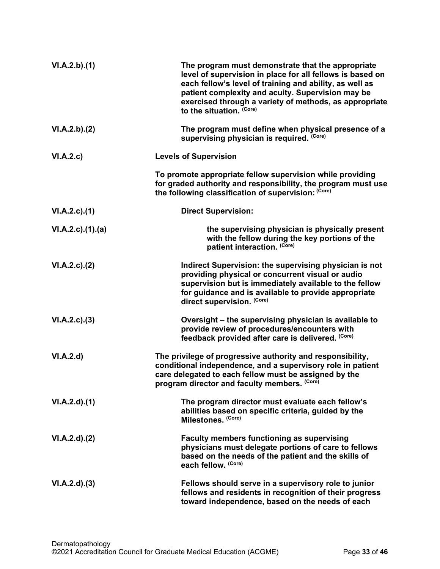| VI.A.2.b)(1)            | The program must demonstrate that the appropriate<br>level of supervision in place for all fellows is based on<br>each fellow's level of training and ability, as well as<br>patient complexity and acuity. Supervision may be<br>exercised through a variety of methods, as appropriate<br>to the situation. (Core) |
|-------------------------|----------------------------------------------------------------------------------------------------------------------------------------------------------------------------------------------------------------------------------------------------------------------------------------------------------------------|
| VI.A.2.b).(2)           | The program must define when physical presence of a<br>supervising physician is required. (Core)                                                                                                                                                                                                                     |
| VI.A.2.c)               | <b>Levels of Supervision</b>                                                                                                                                                                                                                                                                                         |
|                         | To promote appropriate fellow supervision while providing<br>for graded authority and responsibility, the program must use<br>the following classification of supervision: (Core)                                                                                                                                    |
| $VI.A.2.c$ . $(1)$      | <b>Direct Supervision:</b>                                                                                                                                                                                                                                                                                           |
| $VI.A.2.c$ . $(1).$ (a) | the supervising physician is physically present<br>with the fellow during the key portions of the<br>patient interaction. (Core)                                                                                                                                                                                     |
| VI.A.2.c.2()            | Indirect Supervision: the supervising physician is not<br>providing physical or concurrent visual or audio<br>supervision but is immediately available to the fellow<br>for guidance and is available to provide appropriate<br>direct supervision. (Core)                                                           |
| VI.A.2.c.3)             | Oversight - the supervising physician is available to<br>provide review of procedures/encounters with<br>feedback provided after care is delivered. (Core)                                                                                                                                                           |
| VI.A.2.d                | The privilege of progressive authority and responsibility,<br>conditional independence, and a supervisory role in patient<br>care delegated to each fellow must be assigned by the<br>program director and faculty members. (Core)                                                                                   |
| VI.A.2.d)(1)            | The program director must evaluate each fellow's<br>abilities based on specific criteria, guided by the<br>Milestones. (Core)                                                                                                                                                                                        |
| VI.A.2.d). (2)          | <b>Faculty members functioning as supervising</b><br>physicians must delegate portions of care to fellows<br>based on the needs of the patient and the skills of<br>each fellow. (Core)                                                                                                                              |
| VI.A.2.d)(3)            | Fellows should serve in a supervisory role to junior<br>fellows and residents in recognition of their progress<br>toward independence, based on the needs of each                                                                                                                                                    |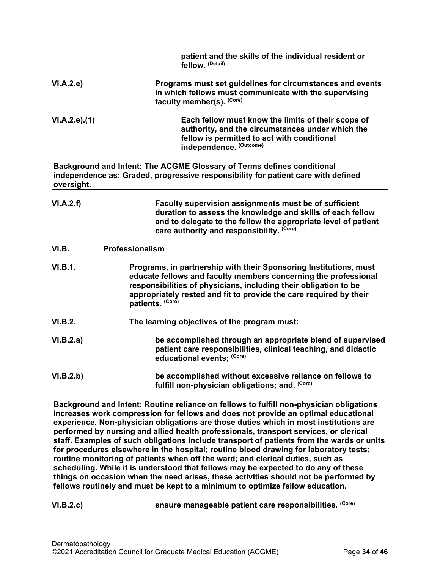|                     | patient and the skills of the individual resident or<br>fellow. (Detail)                                                                                                                                                                                                                           |
|---------------------|----------------------------------------------------------------------------------------------------------------------------------------------------------------------------------------------------------------------------------------------------------------------------------------------------|
| VI.A.2.e)           | Programs must set guidelines for circumstances and events<br>in which fellows must communicate with the supervising<br>faculty member(s). (Core)                                                                                                                                                   |
| $VI.A.2.e$ ). $(1)$ | Each fellow must know the limits of their scope of<br>authority, and the circumstances under which the<br>fellow is permitted to act with conditional<br>independence. (Outcome)                                                                                                                   |
| oversight.          | Background and Intent: The ACGME Glossary of Terms defines conditional<br>independence as: Graded, progressive responsibility for patient care with defined                                                                                                                                        |
| VI.A.2.f)           | Faculty supervision assignments must be of sufficient<br>duration to assess the knowledge and skills of each fellow<br>and to delegate to the fellow the appropriate level of patient<br>care authority and responsibility. (Core)                                                                 |
| VI.B.               | Professionalism                                                                                                                                                                                                                                                                                    |
| VI.B.1.             | Programs, in partnership with their Sponsoring Institutions, must<br>educate fellows and faculty members concerning the professional<br>responsibilities of physicians, including their obligation to be<br>appropriately rested and fit to provide the care required by their<br>patients. (Core) |
| VI.B.2.             | The learning objectives of the program must:                                                                                                                                                                                                                                                       |
| VI.B.2.a)           | be accomplished through an appropriate blend of supervised<br>patient care responsibilities, clinical teaching, and didactic<br>educational events; (Core)                                                                                                                                         |
| VI.B.2.b)           | be accomplished without excessive reliance on fellows to<br>fulfill non-physician obligations; and, (Core)                                                                                                                                                                                         |

<span id="page-33-0"></span>**Background and Intent: Routine reliance on fellows to fulfill non-physician obligations increases work compression for fellows and does not provide an optimal educational experience. Non-physician obligations are those duties which in most institutions are performed by nursing and allied health professionals, transport services, or clerical staff. Examples of such obligations include transport of patients from the wards or units for procedures elsewhere in the hospital; routine blood drawing for laboratory tests; routine monitoring of patients when off the ward; and clerical duties, such as scheduling. While it is understood that fellows may be expected to do any of these things on occasion when the need arises, these activities should not be performed by fellows routinely and must be kept to a minimum to optimize fellow education.**

**VI.B.2.c) ensure manageable patient care responsibilities. (Core)**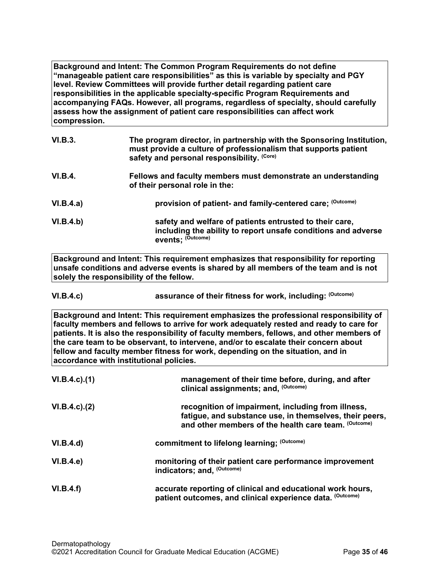**Background and Intent: The Common Program Requirements do not define "manageable patient care responsibilities" as this is variable by specialty and PGY level. Review Committees will provide further detail regarding patient care responsibilities in the applicable specialty-specific Program Requirements and accompanying FAQs. However, all programs, regardless of specialty, should carefully assess how the assignment of patient care responsibilities can affect work compression.**

| <b>VI.B.3.</b>   | The program director, in partnership with the Sponsoring Institution,<br>must provide a culture of professionalism that supports patient<br>safety and personal responsibility. (Core) |
|------------------|----------------------------------------------------------------------------------------------------------------------------------------------------------------------------------------|
| <b>VI.B.4.</b>   | Fellows and faculty members must demonstrate an understanding<br>of their personal role in the:                                                                                        |
| VI.B.4.a)        | provision of patient- and family-centered care; (Outcome)                                                                                                                              |
| <b>VI.B.4.b)</b> | safety and welfare of patients entrusted to their care,<br>including the ability to report unsafe conditions and adverse<br>events; (Outcome)                                          |

**Background and Intent: This requirement emphasizes that responsibility for reporting unsafe conditions and adverse events is shared by all members of the team and is not solely the responsibility of the fellow.**

**VI.B.4.c) assurance of their fitness for work, including: (Outcome)**

**Background and Intent: This requirement emphasizes the professional responsibility of faculty members and fellows to arrive for work adequately rested and ready to care for patients. It is also the responsibility of faculty members, fellows, and other members of the care team to be observant, to intervene, and/or to escalate their concern about fellow and faculty member fitness for work, depending on the situation, and in accordance with institutional policies.**

| $VI.B.4.c$ ). $(1)$ | management of their time before, during, and after<br>clinical assignments; and, (Outcome)                                                                            |
|---------------------|-----------------------------------------------------------------------------------------------------------------------------------------------------------------------|
| $VI.B.4.c$ ). $(2)$ | recognition of impairment, including from illness,<br>fatigue, and substance use, in themselves, their peers,<br>and other members of the health care team. (Outcome) |
| VI.B.4.d)           | commitment to lifelong learning; (Outcome)                                                                                                                            |
| VI.B.4.e            | monitoring of their patient care performance improvement<br>indicators; and, (Outcome)                                                                                |
| VI.B.4.f)           | accurate reporting of clinical and educational work hours,<br>patient outcomes, and clinical experience data. (Outcome)                                               |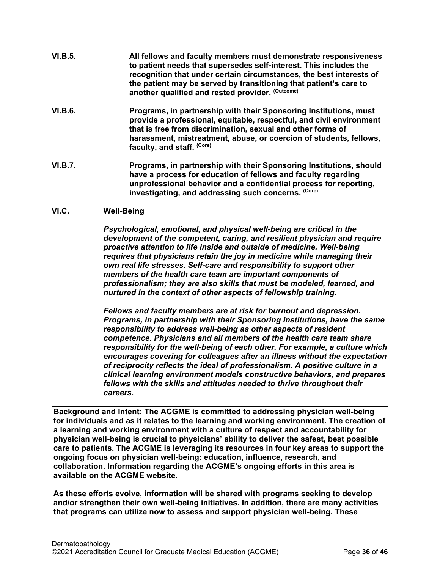- **VI.B.5. All fellows and faculty members must demonstrate responsiveness to patient needs that supersedes self-interest. This includes the recognition that under certain circumstances, the best interests of the patient may be served by transitioning that patient's care to another qualified and rested provider. (Outcome)**
- **VI.B.6. Programs, in partnership with their Sponsoring Institutions, must provide a professional, equitable, respectful, and civil environment that is free from discrimination, sexual and other forms of harassment, mistreatment, abuse, or coercion of students, fellows, faculty, and staff. (Core)**
- **VI.B.7. Programs, in partnership with their Sponsoring Institutions, should have a process for education of fellows and faculty regarding unprofessional behavior and a confidential process for reporting, investigating, and addressing such concerns. (Core)**

## <span id="page-35-0"></span>**VI.C. Well-Being**

*Psychological, emotional, and physical well-being are critical in the development of the competent, caring, and resilient physician and require proactive attention to life inside and outside of medicine. Well-being requires that physicians retain the joy in medicine while managing their own real life stresses. Self-care and responsibility to support other members of the health care team are important components of professionalism; they are also skills that must be modeled, learned, and nurtured in the context of other aspects of fellowship training.*

*Fellows and faculty members are at risk for burnout and depression. Programs, in partnership with their Sponsoring Institutions, have the same responsibility to address well-being as other aspects of resident competence. Physicians and all members of the health care team share responsibility for the well-being of each other. For example, a culture which encourages covering for colleagues after an illness without the expectation of reciprocity reflects the ideal of professionalism. A positive culture in a clinical learning environment models constructive behaviors, and prepares fellows with the skills and attitudes needed to thrive throughout their careers.*

**Background and Intent: The ACGME is committed to addressing physician well-being for individuals and as it relates to the learning and working environment. The creation of a learning and working environment with a culture of respect and accountability for physician well-being is crucial to physicians' ability to deliver the safest, best possible care to patients. The ACGME is leveraging its resources in four key areas to support the ongoing focus on physician well-being: education, influence, research, and collaboration. Information regarding the ACGME's ongoing efforts in this area is available on the ACGME website.**

**As these efforts evolve, information will be shared with programs seeking to develop and/or strengthen their own well-being initiatives. In addition, there are many activities that programs can utilize now to assess and support physician well-being. These**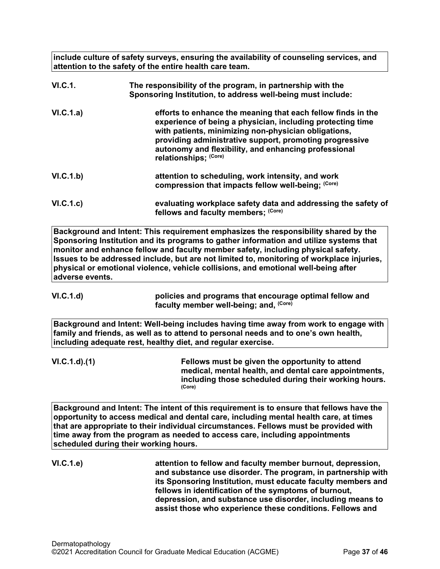**include culture of safety surveys, ensuring the availability of counseling services, and attention to the safety of the entire health care team.**

| <b>VI.C.1.</b> | The responsibility of the program, in partnership with the<br>Sponsoring Institution, to address well-being must include:                                                                                                                                                                                                      |
|----------------|--------------------------------------------------------------------------------------------------------------------------------------------------------------------------------------------------------------------------------------------------------------------------------------------------------------------------------|
| VI.C.1.a)      | efforts to enhance the meaning that each fellow finds in the<br>experience of being a physician, including protecting time<br>with patients, minimizing non-physician obligations,<br>providing administrative support, promoting progressive<br>autonomy and flexibility, and enhancing professional<br>relationships: (Core) |
| VI.C.1.b)      | attention to scheduling, work intensity, and work<br>compression that impacts fellow well-being; (Core)                                                                                                                                                                                                                        |
| VI.C.1.c)      | evaluating workplace safety data and addressing the safety of<br>fellows and faculty members; (Core)                                                                                                                                                                                                                           |

**Background and Intent: This requirement emphasizes the responsibility shared by the Sponsoring Institution and its programs to gather information and utilize systems that monitor and enhance fellow and faculty member safety, including physical safety. Issues to be addressed include, but are not limited to, monitoring of workplace injuries, physical or emotional violence, vehicle collisions, and emotional well-being after adverse events.**

**VI.C.1.d) policies and programs that encourage optimal fellow and faculty member well-being; and, (Core)**

**Background and Intent: Well-being includes having time away from work to engage with family and friends, as well as to attend to personal needs and to one's own health, including adequate rest, healthy diet, and regular exercise.**

**VI.C.1.d).(1) Fellows must be given the opportunity to attend medical, mental health, and dental care appointments, including those scheduled during their working hours. (Core)**

**Background and Intent: The intent of this requirement is to ensure that fellows have the opportunity to access medical and dental care, including mental health care, at times that are appropriate to their individual circumstances. Fellows must be provided with time away from the program as needed to access care, including appointments scheduled during their working hours.**

**VI.C.1.e) attention to fellow and faculty member burnout, depression, and substance use disorder. The program, in partnership with its Sponsoring Institution, must educate faculty members and fellows in identification of the symptoms of burnout, depression, and substance use disorder, including means to assist those who experience these conditions. Fellows and**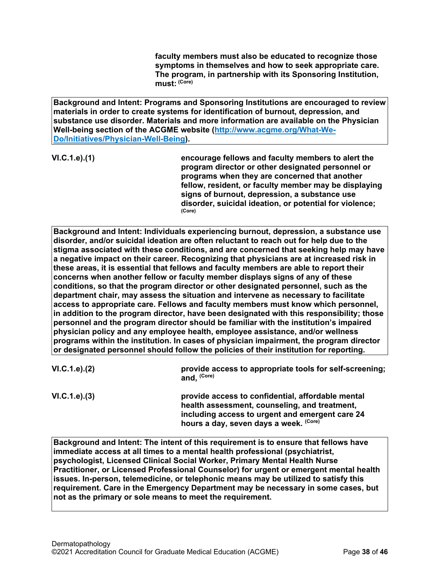**faculty members must also be educated to recognize those symptoms in themselves and how to seek appropriate care. The program, in partnership with its Sponsoring Institution, must: (Core)**

**Background and Intent: Programs and Sponsoring Institutions are encouraged to review materials in order to create systems for identification of burnout, depression, and substance use disorder. Materials and more information are available on the Physician Well-being section of the ACGME website [\(http://www.acgme.org/What-We-](http://www.acgme.org/What-We-Do/Initiatives/Physician-Well-Being)[Do/Initiatives/Physician-Well-Being\)](http://www.acgme.org/What-We-Do/Initiatives/Physician-Well-Being).**

**VI.C.1.e).(1) encourage fellows and faculty members to alert the program director or other designated personnel or programs when they are concerned that another fellow, resident, or faculty member may be displaying signs of burnout, depression, a substance use disorder, suicidal ideation, or potential for violence; (Core)**

**Background and Intent: Individuals experiencing burnout, depression, a substance use disorder, and/or suicidal ideation are often reluctant to reach out for help due to the stigma associated with these conditions, and are concerned that seeking help may have a negative impact on their career. Recognizing that physicians are at increased risk in these areas, it is essential that fellows and faculty members are able to report their concerns when another fellow or faculty member displays signs of any of these conditions, so that the program director or other designated personnel, such as the department chair, may assess the situation and intervene as necessary to facilitate access to appropriate care. Fellows and faculty members must know which personnel, in addition to the program director, have been designated with this responsibility; those personnel and the program director should be familiar with the institution's impaired physician policy and any employee health, employee assistance, and/or wellness programs within the institution. In cases of physician impairment, the program director or designated personnel should follow the policies of their institution for reporting.**

| VI.C.1.e). (2) | provide access to appropriate tools for self-screening;<br>and. (Core)                          |
|----------------|-------------------------------------------------------------------------------------------------|
| VI.C.1.e). (3) | provide access to confidential, affordable mental<br>health cooseement counseling and treatment |

**health assessment, counseling, and treatment, including access to urgent and emergent care 24 hours a day, seven days a week. (Core)**

**Background and Intent: The intent of this requirement is to ensure that fellows have immediate access at all times to a mental health professional (psychiatrist, psychologist, Licensed Clinical Social Worker, Primary Mental Health Nurse Practitioner, or Licensed Professional Counselor) for urgent or emergent mental health issues. In-person, telemedicine, or telephonic means may be utilized to satisfy this requirement. Care in the Emergency Department may be necessary in some cases, but not as the primary or sole means to meet the requirement.**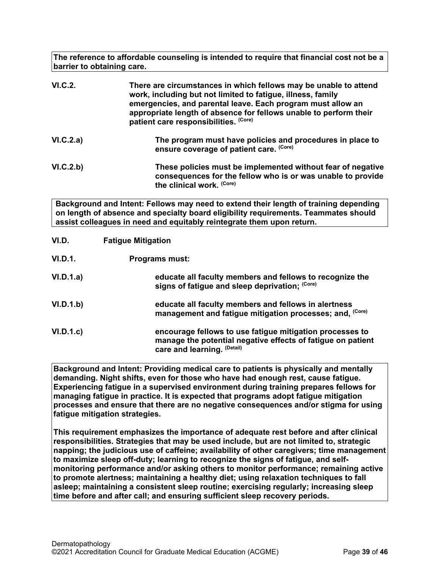**The reference to affordable counseling is intended to require that financial cost not be a barrier to obtaining care.**

| VI.C.2.   | There are circumstances in which fellows may be unable to attend<br>work, including but not limited to fatigue, illness, family<br>emergencies, and parental leave. Each program must allow an<br>appropriate length of absence for fellows unable to perform their<br>patient care responsibilities. (Core) |
|-----------|--------------------------------------------------------------------------------------------------------------------------------------------------------------------------------------------------------------------------------------------------------------------------------------------------------------|
| VI.C.2.a) | The program must have policies and procedures in place to<br>ensure coverage of patient care. (Core)                                                                                                                                                                                                         |
| VI.C.2.b) | These policies must be implemented without fear of negative<br>consequences for the fellow who is or was unable to provide<br>the clinical work. (Core)                                                                                                                                                      |

**Background and Intent: Fellows may need to extend their length of training depending on length of absence and specialty board eligibility requirements. Teammates should assist colleagues in need and equitably reintegrate them upon return.**

<span id="page-38-0"></span>

| VI.D.     | <b>Fatigue Mitigation</b>                                                                                                                              |
|-----------|--------------------------------------------------------------------------------------------------------------------------------------------------------|
| VI.D.1.   | <b>Programs must:</b>                                                                                                                                  |
| VI.D.1.a) | educate all faculty members and fellows to recognize the<br>signs of fatigue and sleep deprivation; (Core)                                             |
| VI.D.1.b) | educate all faculty members and fellows in alertness<br>management and fatigue mitigation processes; and, (Core)                                       |
| VI.D.1.c  | encourage fellows to use fatigue mitigation processes to<br>manage the potential negative effects of fatigue on patient<br>care and learning. (Detail) |

**Background and Intent: Providing medical care to patients is physically and mentally demanding. Night shifts, even for those who have had enough rest, cause fatigue. Experiencing fatigue in a supervised environment during training prepares fellows for managing fatigue in practice. It is expected that programs adopt fatigue mitigation processes and ensure that there are no negative consequences and/or stigma for using fatigue mitigation strategies.**

**This requirement emphasizes the importance of adequate rest before and after clinical responsibilities. Strategies that may be used include, but are not limited to, strategic napping; the judicious use of caffeine; availability of other caregivers; time management to maximize sleep off-duty; learning to recognize the signs of fatigue, and selfmonitoring performance and/or asking others to monitor performance; remaining active to promote alertness; maintaining a healthy diet; using relaxation techniques to fall asleep; maintaining a consistent sleep routine; exercising regularly; increasing sleep time before and after call; and ensuring sufficient sleep recovery periods.**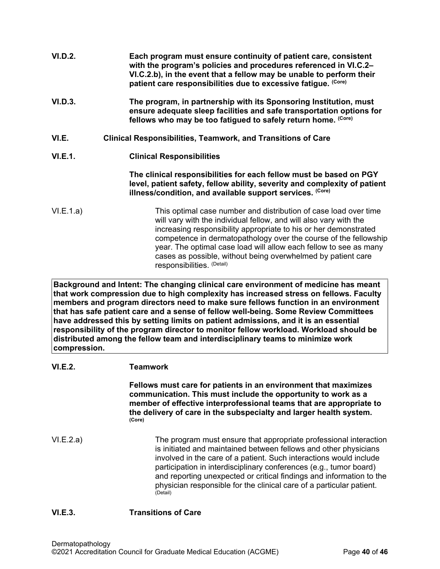<span id="page-39-0"></span>

| VI.D.2.        | Each program must ensure continuity of patient care, consistent<br>with the program's policies and procedures referenced in VI.C.2-<br>VI.C.2.b), in the event that a fellow may be unable to perform their<br>patient care responsibilities due to excessive fatigue. (Core)                                                                                                                                      |
|----------------|--------------------------------------------------------------------------------------------------------------------------------------------------------------------------------------------------------------------------------------------------------------------------------------------------------------------------------------------------------------------------------------------------------------------|
| <b>VI.D.3.</b> | The program, in partnership with its Sponsoring Institution, must<br>ensure adequate sleep facilities and safe transportation options for<br>fellows who may be too fatigued to safely return home. (Core)                                                                                                                                                                                                         |
| VI.E.          | <b>Clinical Responsibilities, Teamwork, and Transitions of Care</b>                                                                                                                                                                                                                                                                                                                                                |
| VI.E.1.        | <b>Clinical Responsibilities</b>                                                                                                                                                                                                                                                                                                                                                                                   |
|                | The clinical responsibilities for each fellow must be based on PGY<br>level, patient safety, fellow ability, severity and complexity of patient<br>illness/condition, and available support services. (Core)                                                                                                                                                                                                       |
| VI.E.1.a)      | This optimal case number and distribution of case load over time<br>will vary with the individual fellow, and will also vary with the<br>increasing responsibility appropriate to his or her demonstrated<br>competence in dermatopathology over the course of the fellowship<br>year. The optimal case load will allow each fellow to see as many<br>cases as possible, without being overwhelmed by patient care |

**Background and Intent: The changing clinical care environment of medicine has meant that work compression due to high complexity has increased stress on fellows. Faculty members and program directors need to make sure fellows function in an environment that has safe patient care and a sense of fellow well-being. Some Review Committees have addressed this by setting limits on patient admissions, and it is an essential responsibility of the program director to monitor fellow workload. Workload should be distributed among the fellow team and interdisciplinary teams to minimize work compression.**

responsibilities. (Detail)

## **VI.E.2. Teamwork**

**Fellows must care for patients in an environment that maximizes communication. This must include the opportunity to work as a member of effective interprofessional teams that are appropriate to the delivery of care in the subspecialty and larger health system. (Core)**

VI.E.2.a) The program must ensure that appropriate professional interaction is initiated and maintained between fellows and other physicians involved in the care of a patient. Such interactions would include participation in interdisciplinary conferences (e.g., tumor board) and reporting unexpected or critical findings and information to the physician responsible for the clinical care of a particular patient. (Detail)

## **VI.E.3. Transitions of Care**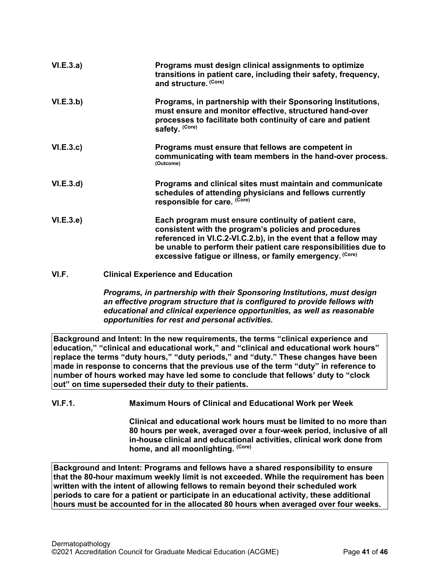| VI.E.3.a) | Programs must design clinical assignments to optimize<br>transitions in patient care, including their safety, frequency,<br>and structure. (Core)                                                                                                                                                               |
|-----------|-----------------------------------------------------------------------------------------------------------------------------------------------------------------------------------------------------------------------------------------------------------------------------------------------------------------|
| VI.E.3.b) | Programs, in partnership with their Sponsoring Institutions,<br>must ensure and monitor effective, structured hand-over<br>processes to facilitate both continuity of care and patient<br>safety. (Core)                                                                                                        |
| VI.E.3.c  | Programs must ensure that fellows are competent in<br>communicating with team members in the hand-over process.<br>(Outcome)                                                                                                                                                                                    |
| VI.E.3.d  | Programs and clinical sites must maintain and communicate<br>schedules of attending physicians and fellows currently<br>responsible for care. (Core)                                                                                                                                                            |
| VI.E.3.e) | Each program must ensure continuity of patient care,<br>consistent with the program's policies and procedures<br>referenced in VI.C.2-VI.C.2.b), in the event that a fellow may<br>be unable to perform their patient care responsibilities due to<br>excessive fatigue or illness, or family emergency. (Core) |

<span id="page-40-0"></span>**VI.F. Clinical Experience and Education**

*Programs, in partnership with their Sponsoring Institutions, must design an effective program structure that is configured to provide fellows with educational and clinical experience opportunities, as well as reasonable opportunities for rest and personal activities.*

**Background and Intent: In the new requirements, the terms "clinical experience and education," "clinical and educational work," and "clinical and educational work hours" replace the terms "duty hours," "duty periods," and "duty." These changes have been made in response to concerns that the previous use of the term "duty" in reference to number of hours worked may have led some to conclude that fellows' duty to "clock out" on time superseded their duty to their patients.**

**VI.F.1. Maximum Hours of Clinical and Educational Work per Week**

**Clinical and educational work hours must be limited to no more than 80 hours per week, averaged over a four-week period, inclusive of all in-house clinical and educational activities, clinical work done from home, and all moonlighting. (Core)**

**Background and Intent: Programs and fellows have a shared responsibility to ensure that the 80-hour maximum weekly limit is not exceeded. While the requirement has been written with the intent of allowing fellows to remain beyond their scheduled work periods to care for a patient or participate in an educational activity, these additional hours must be accounted for in the allocated 80 hours when averaged over four weeks.**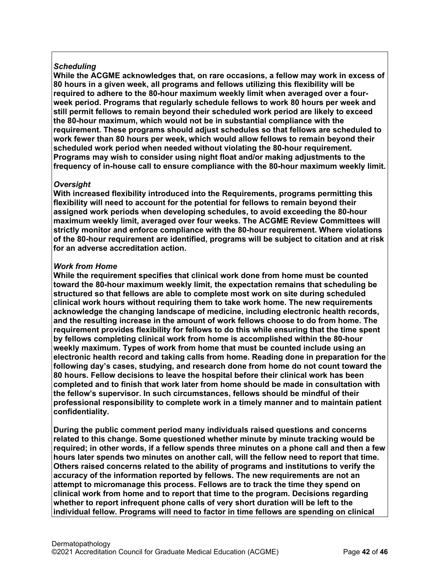# *Scheduling*

**While the ACGME acknowledges that, on rare occasions, a fellow may work in excess of 80 hours in a given week, all programs and fellows utilizing this flexibility will be required to adhere to the 80-hour maximum weekly limit when averaged over a fourweek period. Programs that regularly schedule fellows to work 80 hours per week and still permit fellows to remain beyond their scheduled work period are likely to exceed the 80-hour maximum, which would not be in substantial compliance with the requirement. These programs should adjust schedules so that fellows are scheduled to work fewer than 80 hours per week, which would allow fellows to remain beyond their scheduled work period when needed without violating the 80-hour requirement. Programs may wish to consider using night float and/or making adjustments to the frequency of in-house call to ensure compliance with the 80-hour maximum weekly limit.**

## *Oversight*

**With increased flexibility introduced into the Requirements, programs permitting this flexibility will need to account for the potential for fellows to remain beyond their assigned work periods when developing schedules, to avoid exceeding the 80-hour maximum weekly limit, averaged over four weeks. The ACGME Review Committees will strictly monitor and enforce compliance with the 80-hour requirement. Where violations of the 80-hour requirement are identified, programs will be subject to citation and at risk for an adverse accreditation action.**

## *Work from Home*

**While the requirement specifies that clinical work done from home must be counted toward the 80-hour maximum weekly limit, the expectation remains that scheduling be structured so that fellows are able to complete most work on site during scheduled clinical work hours without requiring them to take work home. The new requirements acknowledge the changing landscape of medicine, including electronic health records, and the resulting increase in the amount of work fellows choose to do from home. The requirement provides flexibility for fellows to do this while ensuring that the time spent by fellows completing clinical work from home is accomplished within the 80-hour weekly maximum. Types of work from home that must be counted include using an electronic health record and taking calls from home. Reading done in preparation for the following day's cases, studying, and research done from home do not count toward the 80 hours. Fellow decisions to leave the hospital before their clinical work has been completed and to finish that work later from home should be made in consultation with the fellow's supervisor. In such circumstances, fellows should be mindful of their professional responsibility to complete work in a timely manner and to maintain patient confidentiality.**

**During the public comment period many individuals raised questions and concerns related to this change. Some questioned whether minute by minute tracking would be required; in other words, if a fellow spends three minutes on a phone call and then a few hours later spends two minutes on another call, will the fellow need to report that time. Others raised concerns related to the ability of programs and institutions to verify the accuracy of the information reported by fellows. The new requirements are not an attempt to micromanage this process. Fellows are to track the time they spend on clinical work from home and to report that time to the program. Decisions regarding whether to report infrequent phone calls of very short duration will be left to the individual fellow. Programs will need to factor in time fellows are spending on clinical**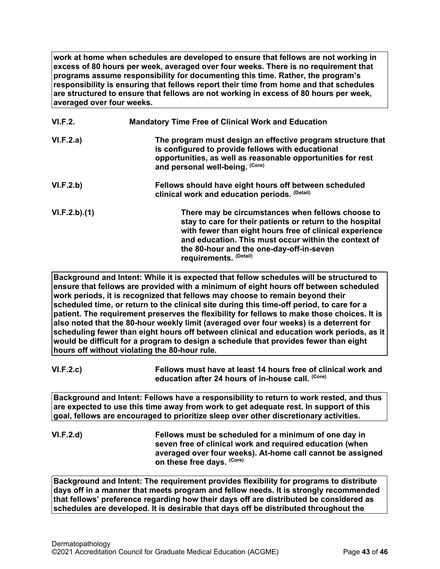**work at home when schedules are developed to ensure that fellows are not working in excess of 80 hours per week, averaged over four weeks. There is no requirement that programs assume responsibility for documenting this time. Rather, the program's responsibility is ensuring that fellows report their time from home and that schedules are structured to ensure that fellows are not working in excess of 80 hours per week, averaged over four weeks.**

| VI.F.2.      | <b>Mandatory Time Free of Clinical Work and Education</b>                                                                                                                                                                                                                                               |
|--------------|---------------------------------------------------------------------------------------------------------------------------------------------------------------------------------------------------------------------------------------------------------------------------------------------------------|
| VI.F.2.a)    | The program must design an effective program structure that<br>is configured to provide fellows with educational<br>opportunities, as well as reasonable opportunities for rest<br>and personal well-being. (Core)                                                                                      |
| VI.F.2.b)    | Fellows should have eight hours off between scheduled<br>clinical work and education periods. (Detail)                                                                                                                                                                                                  |
| VI.F.2.b)(1) | There may be circumstances when fellows choose to<br>stay to care for their patients or return to the hospital<br>with fewer than eight hours free of clinical experience<br>and education. This must occur within the context of<br>the 80-hour and the one-day-off-in-seven<br>requirements. (Detail) |

**Background and Intent: While it is expected that fellow schedules will be structured to ensure that fellows are provided with a minimum of eight hours off between scheduled work periods, it is recognized that fellows may choose to remain beyond their scheduled time, or return to the clinical site during this time-off period, to care for a patient. The requirement preserves the flexibility for fellows to make those choices. It is also noted that the 80-hour weekly limit (averaged over four weeks) is a deterrent for scheduling fewer than eight hours off between clinical and education work periods, as it would be difficult for a program to design a schedule that provides fewer than eight hours off without violating the 80-hour rule.**

**VI.F.2.c) Fellows must have at least 14 hours free of clinical work and education after 24 hours of in-house call. (Core)**

**Background and Intent: Fellows have a responsibility to return to work rested, and thus are expected to use this time away from work to get adequate rest. In support of this goal, fellows are encouraged to prioritize sleep over other discretionary activities.**

**VI.F.2.d) Fellows must be scheduled for a minimum of one day in seven free of clinical work and required education (when averaged over four weeks). At-home call cannot be assigned on these free days. (Core)**

**Background and Intent: The requirement provides flexibility for programs to distribute days off in a manner that meets program and fellow needs. It is strongly recommended that fellows' preference regarding how their days off are distributed be considered as schedules are developed. It is desirable that days off be distributed throughout the**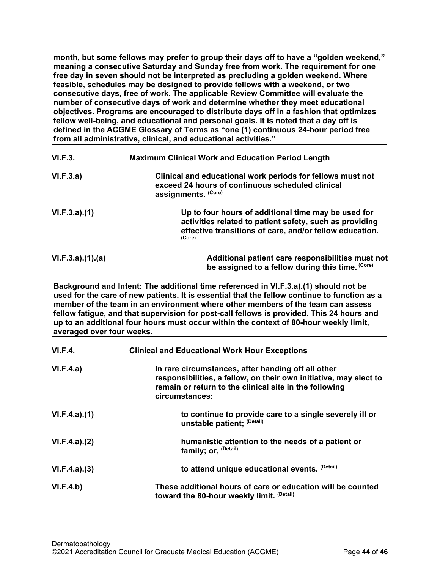**month, but some fellows may prefer to group their days off to have a "golden weekend," meaning a consecutive Saturday and Sunday free from work. The requirement for one free day in seven should not be interpreted as precluding a golden weekend. Where feasible, schedules may be designed to provide fellows with a weekend, or two consecutive days, free of work. The applicable Review Committee will evaluate the number of consecutive days of work and determine whether they meet educational objectives. Programs are encouraged to distribute days off in a fashion that optimizes fellow well-being, and educational and personal goals. It is noted that a day off is defined in the ACGME Glossary of Terms as "one (1) continuous 24-hour period free from all administrative, clinical, and educational activities."**

| VI.F.3.         | <b>Maximum Clinical Work and Education Period Length</b>                                                                                                                            |
|-----------------|-------------------------------------------------------------------------------------------------------------------------------------------------------------------------------------|
| VI.F.3.a)       | Clinical and educational work periods for fellows must not<br>exceed 24 hours of continuous scheduled clinical<br>assignments. (Core)                                               |
| VI.F.3.a)(1)    | Up to four hours of additional time may be used for<br>activities related to patient safety, such as providing<br>effective transitions of care, and/or fellow education.<br>(Core) |
| VI.F.3.a)(1)(a) | Additional patient care responsibilities must not<br>be assigned to a fellow during this time. (Core)                                                                               |

**Background and Intent: The additional time referenced in VI.F.3.a).(1) should not be used for the care of new patients. It is essential that the fellow continue to function as a member of the team in an environment where other members of the team can assess fellow fatigue, and that supervision for post-call fellows is provided. This 24 hours and up to an additional four hours must occur within the context of 80-hour weekly limit, averaged over four weeks.**

| <b>VI.F.4.</b> | <b>Clinical and Educational Work Hour Exceptions</b>                                                                                                                                                |
|----------------|-----------------------------------------------------------------------------------------------------------------------------------------------------------------------------------------------------|
| VI.F.4.a)      | In rare circumstances, after handing off all other<br>responsibilities, a fellow, on their own initiative, may elect to<br>remain or return to the clinical site in the following<br>circumstances: |
| VI.F.4.a)(1)   | to continue to provide care to a single severely ill or<br>unstable patient; (Detail)                                                                                                               |
| VI.F.4.a)(2)   | humanistic attention to the needs of a patient or<br>family; or, <sup>(Detail)</sup>                                                                                                                |
| VI.F.4.a)(3)   | to attend unique educational events. (Detail)                                                                                                                                                       |
| VI.F.4.b)      | These additional hours of care or education will be counted<br>toward the 80-hour weekly limit. (Detail)                                                                                            |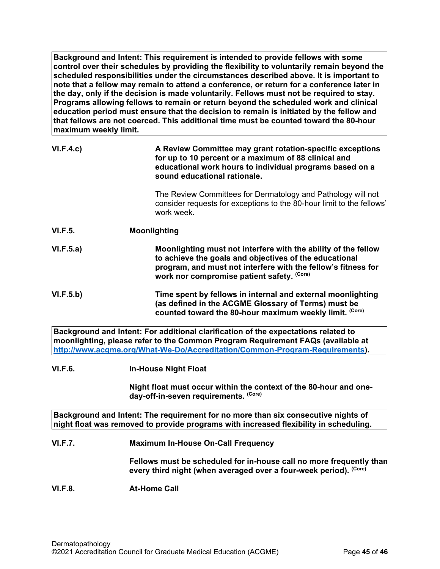**Background and Intent: This requirement is intended to provide fellows with some control over their schedules by providing the flexibility to voluntarily remain beyond the scheduled responsibilities under the circumstances described above. It is important to note that a fellow may remain to attend a conference, or return for a conference later in the day, only if the decision is made voluntarily. Fellows must not be required to stay. Programs allowing fellows to remain or return beyond the scheduled work and clinical education period must ensure that the decision to remain is initiated by the fellow and that fellows are not coerced. This additional time must be counted toward the 80-hour maximum weekly limit.**

| VI.F.4.c       | A Review Committee may grant rotation-specific exceptions<br>for up to 10 percent or a maximum of 88 clinical and<br>educational work hours to individual programs based on a<br>sound educational rationale.                           |
|----------------|-----------------------------------------------------------------------------------------------------------------------------------------------------------------------------------------------------------------------------------------|
|                | The Review Committees for Dermatology and Pathology will not<br>consider requests for exceptions to the 80-hour limit to the fellows'<br>work week.                                                                                     |
| <b>VI.F.5.</b> | <b>Moonlighting</b>                                                                                                                                                                                                                     |
| VI.F.5.a)      | Moonlighting must not interfere with the ability of the fellow<br>to achieve the goals and objectives of the educational<br>program, and must not interfere with the fellow's fitness for<br>work nor compromise patient safety. (Core) |
| VI.F.5.b)      | Time spent by fellows in internal and external moonlighting<br>(as defined in the ACGME Glossary of Terms) must be<br>counted toward the 80-hour maximum weekly limit. (Core)                                                           |

**Background and Intent: For additional clarification of the expectations related to moonlighting, please refer to the Common Program Requirement FAQs (available at [http://www.acgme.org/What-We-Do/Accreditation/Common-Program-Requirements\)](http://www.acgme.org/What-We-Do/Accreditation/Common-Program-Requirements).**

## **VI.F.6. In-House Night Float**

**Night float must occur within the context of the 80-hour and oneday-off-in-seven requirements. (Core)**

**Background and Intent: The requirement for no more than six consecutive nights of night float was removed to provide programs with increased flexibility in scheduling.**

## **VI.F.7. Maximum In-House On-Call Frequency**

**Fellows must be scheduled for in-house call no more frequently than every third night (when averaged over a four-week period). (Core)**

## **VI.F.8. At-Home Call**